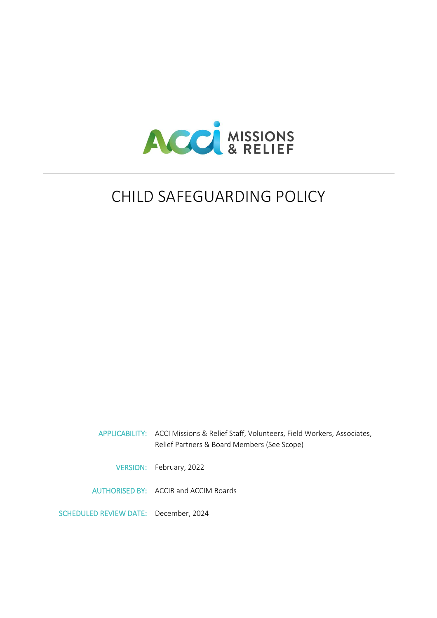

# CHILD SAFEGUARDING POLICY

|                                       | APPLICABILITY: ACCI Missions & Relief Staff, Volunteers, Field Workers, Associates,<br>Relief Partners & Board Members (See Scope) |
|---------------------------------------|------------------------------------------------------------------------------------------------------------------------------------|
|                                       | VERSION: February, 2022                                                                                                            |
|                                       | AUTHORISED BY: ACCIR and ACCIM Boards                                                                                              |
| SCHEDULED REVIEW DATE: December, 2024 |                                                                                                                                    |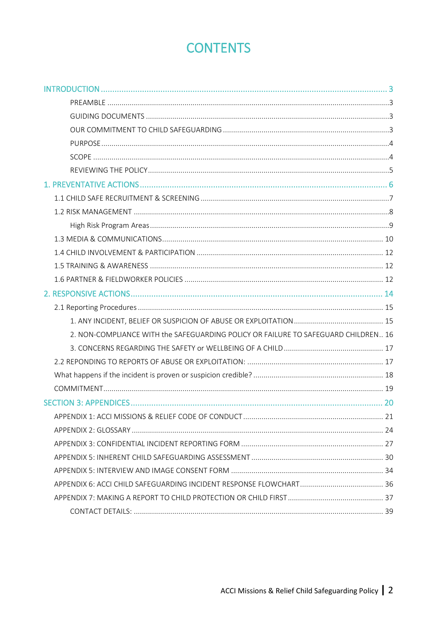# **CONTENTS**

| 2. NON-COMPLIANCE WITH the SAFEGUARDING POLICY OR FAILURE TO SAFEGUARD CHILDREN 16 |  |
|------------------------------------------------------------------------------------|--|
|                                                                                    |  |
|                                                                                    |  |
|                                                                                    |  |
|                                                                                    |  |
|                                                                                    |  |
|                                                                                    |  |
|                                                                                    |  |
|                                                                                    |  |
|                                                                                    |  |
|                                                                                    |  |
|                                                                                    |  |
|                                                                                    |  |
|                                                                                    |  |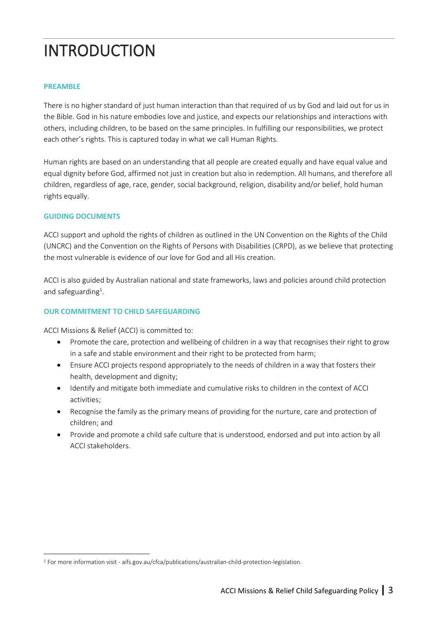# <span id="page-2-0"></span>INTRODUCTION

## <span id="page-2-1"></span>**PREAMBLE**

There is no higher standard of just human interaction than that required of us by God and laid out for us in the Bible. God in his nature embodies love and justice, and expects our relationships and interactions with others, including children, to be based on the same principles. In fulfilling our responsibilities, we protect each other's rights. This is captured today in what we call Human Rights.

Human rights are based on an understanding that all people are created equally and have equal value and equal dignity before God, affirmed not just in creation but also in redemption. All humans, and therefore all children, regardless of age, race, gender, social background, religion, disability and/or belief, hold human rights equally.

## <span id="page-2-2"></span>**GUIDING DOCUMENTS**

ACCI support and uphold the rights of children as outlined in the UN Convention on the Rights of the Child (UNCRC) and the Convention on the Rights of Persons with Disabilities (CRPD), as we believe that protecting the most vulnerable is evidence of our love for God and all His creation.

ACCI is also guided by Australian national and state frameworks, laws and policies around child protection and safeguarding<sup>1</sup>.

## <span id="page-2-3"></span>**OUR COMMITMENT TO CHILD SAFEGUARDING**

ACCI Missions & Relief (ACCI) is committed to:

- Promote the care, protection and wellbeing of children in a way that recognises their right to grow in a safe and stable environment and their right to be protected from harm;
- Ensure ACCI projects respond appropriately to the needs of children in a way that fosters their health, development and dignity;
- Identify and mitigate both immediate and cumulative risks to children in the context of ACCI activities;
- Recognise the family as the primary means of providing for the nurture, care and protection of children; and
- Provide and promote a child safe culture that is understood, endorsed and put into action by all ACCI stakeholders.

<sup>1</sup> For more information visit - aifs.gov.au/cfca/publications/australian-child-protection-legislation.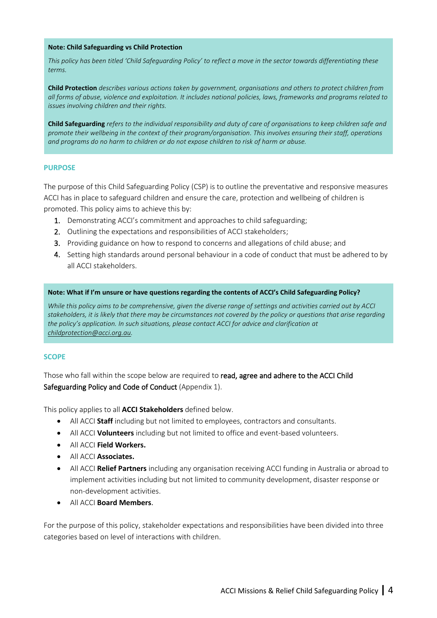#### **Note: Child Safeguarding vs Child Protection**

*This policy has been titled 'Child Safeguarding Policy' to reflect a move in the sector towards differentiating these terms.* 

**Child Protection** *describes various actions taken by government, organisations and others to protect children from all forms of abuse, violence and exploitation. It includes national policies, laws, frameworks and programs related to issues involving children and their rights.* 

**Child Safeguarding** *refers to the individual responsibility and duty of care of organisations to keep children safe and promote their wellbeing in the context of their program/organisation. This involves ensuring their staff, operations and programs do no harm to children or do not expose children to risk of harm or abuse.* 

#### <span id="page-3-0"></span>**PURPOSE**

The purpose of this Child Safeguarding Policy (CSP) is to outline the preventative and responsive measures ACCI has in place to safeguard children and ensure the care, protection and wellbeing of children is promoted. This policy aims to achieve this by:

- 1. Demonstrating ACCI's commitment and approaches to child safeguarding;
- 2. Outlining the expectations and responsibilities of ACCI stakeholders;
- 3. Providing guidance on how to respond to concerns and allegations of child abuse; and
- 4. Setting high standards around personal behaviour in a code of conduct that must be adhered to by all ACCI stakeholders.

#### **Note: What if I'm unsure or have questions regarding the contents of ACCI's Child Safeguarding Policy?**

*While this policy aims to be comprehensive, given the diverse range of settings and activities carried out by ACCI stakeholders, it is likely that there may be circumstances not covered by the policy or questions that arise regarding the policy's application. In such situations, please contact ACCI for advice and clarification at [childprotection@acci.org.au.](mailto:childprotection@acci.org.au)* 

#### <span id="page-3-1"></span>**SCOPE**

Those who fall within the scope below are required to read, agree and adhere to the ACCI Child Safeguarding Policy and Code of Conduct (Appendix 1).

This policy applies to all **ACCI Stakeholders** defined below.

- All ACCI **Staff** including but not limited to employees, contractors and consultants.
- All ACCI **Volunteers** including but not limited to office and event-based volunteers.
- All ACCI **Field Workers.**
- All ACCI **Associates.**
- All ACCI **Relief Partners** including any organisation receiving ACCI funding in Australia or abroad to implement activities including but not limited to community development, disaster response or non-development activities.
- All ACCI **Board Members**.

For the purpose of this policy, stakeholder expectations and responsibilities have been divided into three categories based on level of interactions with children.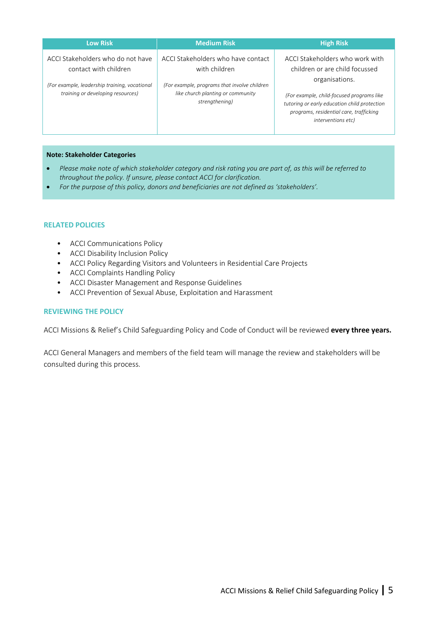| <b>Low Risk</b>                                                                                                                                  | <b>Medium Risk</b>                                                                                                                                         | <b>High Risk</b>                                                                                                                                                                                                                                         |
|--------------------------------------------------------------------------------------------------------------------------------------------------|------------------------------------------------------------------------------------------------------------------------------------------------------------|----------------------------------------------------------------------------------------------------------------------------------------------------------------------------------------------------------------------------------------------------------|
| ACCI Stakeholders who do not have<br>contact with children<br>(For example, leadership training, vocational<br>training or developing resources) | ACCI Stakeholders who have contact<br>with children<br>(For example, programs that involve children<br>like church planting or community<br>strengthening) | ACCI Stakeholders who work with<br>children or are child focussed<br>organisations.<br>(For example, child-focused programs like<br>tutoring or early education child protection<br>programs, residential care, trafficking<br><i>interventions etc)</i> |

#### **Note: Stakeholder Categories**

- *Please make note of which stakeholder category and risk rating you are part of, as this will be referred to throughout the policy. If unsure, please contact ACCI for clarification.*
- *For the purpose of this policy, donors and beneficiaries are not defined as 'stakeholders'.*

#### <span id="page-4-0"></span>**RELATED POLICIES**

- ACCI Communications Policy
- ACCI Disability Inclusion Policy
- ACCI Policy Regarding Visitors and Volunteers in Residential Care Projects
- ACCI Complaints Handling Policy
- ACCI Disaster Management and Response Guidelines
- ACCI Prevention of Sexual Abuse, Exploitation and Harassment

#### **REVIEWING THE POLICY**

ACCI Missions & Relief's Child Safeguarding Policy and Code of Conduct will be reviewed **every three years.** 

ACCI General Managers and members of the field team will manage the review and stakeholders will be consulted during this process.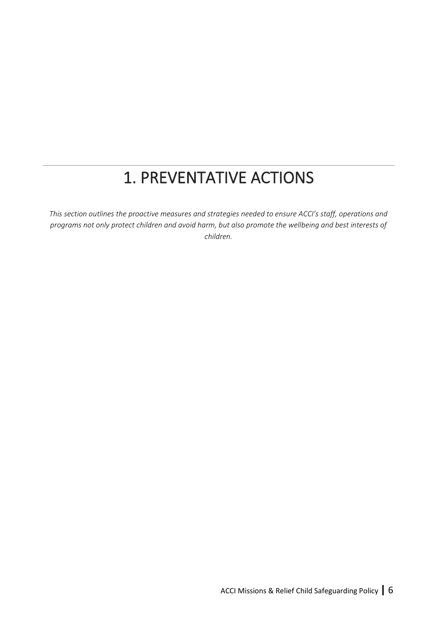# 1. PREVENTATIVE ACTIONS

<span id="page-5-0"></span>*This section outlines the proactive measures and strategies needed to ensure ACCI's staff, operations and programs not only protect children and avoid harm, but also promote the wellbeing and best interests of children.*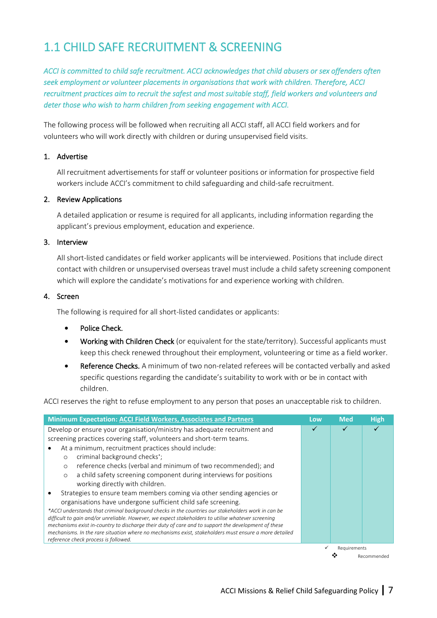# <span id="page-6-0"></span>1.1 CHILD SAFE RECRUITMENT & SCREENING

*ACCI is committed to child safe recruitment. ACCI acknowledges that child abusers or sex offenders often seek employment or volunteer placements in organisations that work with children. Therefore, ACCI recruitment practices aim to recruit the safest and most suitable staff, field workers and volunteers and deter those who wish to harm children from seeking engagement with ACCI.* 

The following process will be followed when recruiting all ACCI staff, all ACCI field workers and for volunteers who will work directly with children or during unsupervised field visits.

#### 1. Advertise

All recruitment advertisements for staff or volunteer positions or information for prospective field workers include ACCI's commitment to child safeguarding and child-safe recruitment.

#### 2. Review Applications

A detailed application or resume is required for all applicants, including information regarding the applicant's previous employment, education and experience.

#### 3. Interview

All short-listed candidates or field worker applicants will be interviewed. Positions that include direct contact with children or unsupervised overseas travel must include a child safety screening component which will explore the candidate's motivations for and experience working with children.

#### 4. Screen

The following is required for all short-listed candidates or applicants:

- Police Check.
- Working with Children Check (or equivalent for the state/territory). Successful applicants must keep this check renewed throughout their employment, volunteering or time as a field worker.
- Reference Checks. A minimum of two non-related referees will be contacted verbally and asked specific questions regarding the candidate's suitability to work with or be in contact with children.

ACCI reserves the right to refuse employment to any person that poses an unacceptable risk to children.

| <b>Minimum Expectation: ACCI Field Workers, Associates and Partners</b>                                                                                                                                      | Low | <b>Med</b>   | <b>High</b> |
|--------------------------------------------------------------------------------------------------------------------------------------------------------------------------------------------------------------|-----|--------------|-------------|
| Develop or ensure your organisation/ministry has adequate recruitment and                                                                                                                                    | ✓   |              |             |
| screening practices covering staff, volunteers and short-term teams.                                                                                                                                         |     |              |             |
| At a minimum, recruitment practices should include:                                                                                                                                                          |     |              |             |
| criminal background checks <sup>*</sup> ;<br>$\circ$                                                                                                                                                         |     |              |             |
| reference checks (verbal and minimum of two recommended); and<br>$\circ$                                                                                                                                     |     |              |             |
| a child safety screening component during interviews for positions<br>$\circ$                                                                                                                                |     |              |             |
| working directly with children.                                                                                                                                                                              |     |              |             |
| Strategies to ensure team members coming via other sending agencies or                                                                                                                                       |     |              |             |
| organisations have undergone sufficient child safe screening.                                                                                                                                                |     |              |             |
| *ACCI understands that criminal background checks in the countries our stakeholders work in can be                                                                                                           |     |              |             |
| difficult to gain and/or unreliable. However, we expect stakeholders to utilise whatever screening                                                                                                           |     |              |             |
| mechanisms exist in-country to discharge their duty of care and to support the development of these<br>mechanisms. In the rare situation where no mechanisms exist, stakeholders must ensure a more detailed |     |              |             |
| reference check process is followed.                                                                                                                                                                         |     |              |             |
|                                                                                                                                                                                                              |     | Requirements |             |
|                                                                                                                                                                                                              |     |              | Recommended |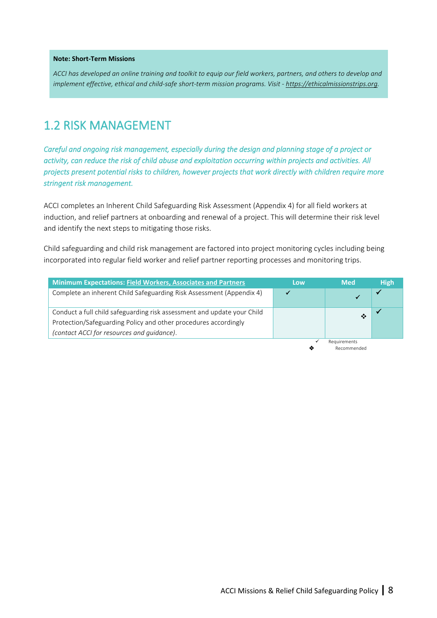#### **Note: Short-Term Missions**

*ACCI has developed an online training and toolkit to equip our field workers, partners, and others to develop and implement effective, ethical and child-safe short-term mission programs. Visit - [https://ethicalmissionstrips.org.](https://ethicalmissionstrips.org/)*

# <span id="page-7-0"></span>1.2 RISK MANAGEMENT

*Careful and ongoing risk management, especially during the design and planning stage of a project or activity, can reduce the risk of child abuse and exploitation occurring within projects and activities. All projects present potential risks to children, however projects that work directly with children require more stringent risk management.* 

ACCI completes an Inherent Child Safeguarding Risk Assessment (Appendix 4) for all field workers at induction, and relief partners at onboarding and renewal of a project. This will determine their risk level and identify the next steps to mitigating those risks.

Child safeguarding and child risk management are factored into project monitoring cycles including being incorporated into regular field worker and relief partner reporting processes and monitoring trips.

| <b>Minimum Expectations: Field Workers, Associates and Partners</b>                                                                                                                      | Low | <b>Med</b>                  | <b>High</b> |
|------------------------------------------------------------------------------------------------------------------------------------------------------------------------------------------|-----|-----------------------------|-------------|
| Complete an inherent Child Safeguarding Risk Assessment (Appendix 4)                                                                                                                     |     |                             |             |
| Conduct a full child safeguarding risk assessment and update your Child<br>Protection/Safeguarding Policy and other procedures accordingly<br>(contact ACCI for resources and guidance). |     | ∙                           |             |
|                                                                                                                                                                                          | ◈   | Requirements<br>Recommended |             |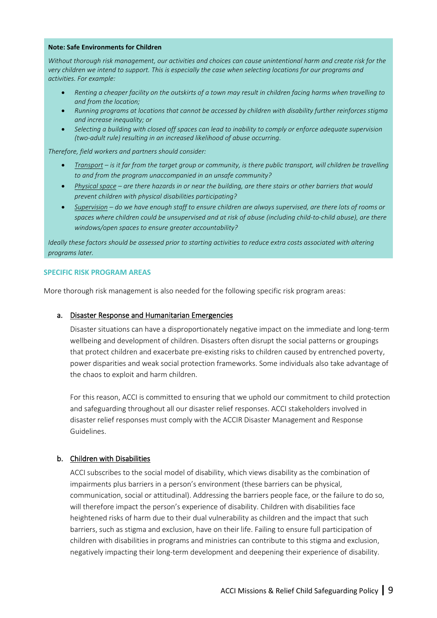#### **Note: Safe Environments for Children**

*Without thorough risk management, our activities and choices can cause unintentional harm and create risk for the very children we intend to support. This is especially the case when selecting locations for our programs and activities. For example:* 

- *Renting a cheaper facility on the outskirts of a town may result in children facing harms when travelling to and from the location;*
- *Running programs at locations that cannot be accessed by children with disability further reinforces stigma and increase inequality; or*
- *Selecting a building with closed off spaces can lead to inability to comply or enforce adequate supervision (two-adult rule) resulting in an increased likelihood of abuse occurring.*

*Therefore, field workers and partners should consider:* 

- *Transport – is it far from the target group or community, is there public transport, will children be travelling to and from the program unaccompanied in an unsafe community?*
- *Physical space – are there hazards in or near the building, are there stairs or other barriers that would prevent children with physical disabilities participating?*
- *Supervision – do we have enough staff to ensure children are always supervised, are there lots of rooms or spaces where children could be unsupervised and at risk of abuse (including child-to-child abuse), are there windows/open spaces to ensure greater accountability?*

*Ideally these factors should be assessed prior to starting activities to reduce extra costs associated with altering programs later.* 

#### <span id="page-8-0"></span>**SPECIFIC RISK PROGRAM AREAS**

More thorough risk management is also needed for the following specific risk program areas:

#### a. Disaster Response and Humanitarian Emergencies

Disaster situations can have a disproportionately negative impact on the immediate and long-term wellbeing and development of children. Disasters often disrupt the social patterns or groupings that protect children and exacerbate pre-existing risks to children caused by entrenched poverty, power disparities and weak social protection frameworks. Some individuals also take advantage of the chaos to exploit and harm children.

For this reason, ACCI is committed to ensuring that we uphold our commitment to child protection and safeguarding throughout all our disaster relief responses. ACCI stakeholders involved in disaster relief responses must comply with the ACCIR Disaster Management and Response Guidelines.

#### b. Children with Disabilities

ACCI subscribes to the social model of disability, which views disability as the combination of impairments plus barriers in a person's environment (these barriers can be physical, communication, social or attitudinal). Addressing the barriers people face, or the failure to do so, will therefore impact the person's experience of disability. Children with disabilities face heightened risks of harm due to their dual vulnerability as children and the impact that such barriers, such as stigma and exclusion, have on their life. Failing to ensure full participation of children with disabilities in programs and ministries can contribute to this stigma and exclusion, negatively impacting their long-term development and deepening their experience of disability.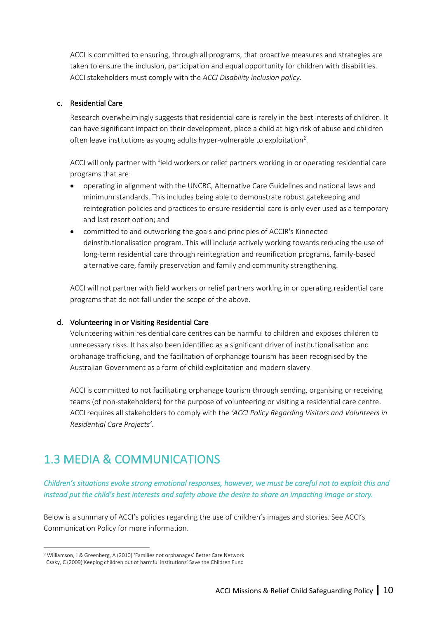ACCI is committed to ensuring, through all programs, that proactive measures and strategies are taken to ensure the inclusion, participation and equal opportunity for children with disabilities. ACCI stakeholders must comply with the *ACCI Disability inclusion policy*.

## c. Residential Care

Research overwhelmingly suggests that residential care is rarely in the best interests of children. It can have significant impact on their development, place a child at high risk of abuse and children often leave institutions as young adults hyper-vulnerable to exploitation<sup>2</sup>.

ACCI will only partner with field workers or relief partners working in or operating residential care programs that are:

- operating in alignment with the UNCRC, Alternative Care Guidelines and national laws and minimum standards. This includes being able to demonstrate robust gatekeeping and reintegration policies and practices to ensure residential care is only ever used as a temporary and last resort option; and
- committed to and outworking the goals and principles of ACCIR's Kinnected deinstitutionalisation program. This will include actively working towards reducing the use of long-term residential care through reintegration and reunification programs, family-based alternative care, family preservation and family and community strengthening.

ACCI will not partner with field workers or relief partners working in or operating residential care programs that do not fall under the scope of the above.

## d. Volunteering in or Visiting Residential Care

Volunteering within residential care centres can be harmful to children and exposes children to unnecessary risks. It has also been identified as a significant driver of institutionalisation and orphanage trafficking, and the facilitation of orphanage tourism has been recognised by the Australian Government as a form of child exploitation and modern slavery.

ACCI is committed to not facilitating orphanage tourism through sending, organising or receiving teams (of non-stakeholders) for the purpose of volunteering or visiting a residential care centre. ACCI requires all stakeholders to comply with the *'ACCI Policy Regarding Visitors and Volunteers in Residential Care Projects'.*

# <span id="page-9-0"></span>1.3 MEDIA & COMMUNICATIONS

## *Children's situations evoke strong emotional responses, however, we must be careful not to exploit this and instead put the child's best interests and safety above the desire to share an impacting image or story.*

Below is a summary of ACCI's policies regarding the use of children's images and stories. See ACCI's Communication Policy for more information.

<sup>2</sup> Williamson, J & Greenberg, A (2010) 'Families not orphanages' Better Care Network

Csaky, C (2009)'Keeping children out of harmful institutions' Save the Children Fund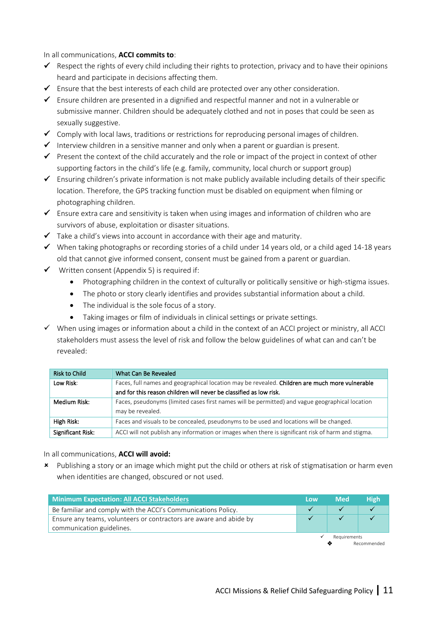In all communications, **ACCI commits to**:

- $\checkmark$  Respect the rights of every child including their rights to protection, privacy and to have their opinions heard and participate in decisions affecting them.
- $\checkmark$  Ensure that the best interests of each child are protected over any other consideration.
- ✓ Ensure children are presented in a dignified and respectful manner and not in a vulnerable or submissive manner. Children should be adequately clothed and not in poses that could be seen as sexually suggestive.
- $\checkmark$  Comply with local laws, traditions or restrictions for reproducing personal images of children.
- ✓ Interview children in a sensitive manner and only when a parent or guardian is present.
- $\checkmark$  Present the context of the child accurately and the role or impact of the project in context of other supporting factors in the child's life (e.g. family, community, local church or support group)
- ✓ Ensuring children's private information is not make publicly available including details of their specific location. Therefore, the GPS tracking function must be disabled on equipment when filming or photographing children.
- $\checkmark$  Ensure extra care and sensitivity is taken when using images and information of children who are survivors of abuse, exploitation or disaster situations.
- ✓ Take a child's views into account in accordance with their age and maturity.
- ✓ When taking photographs or recording stories of a child under 14 years old, or a child aged 14-18 years old that cannot give informed consent, consent must be gained from a parent or guardian.
- $\checkmark$  Written consent (Appendix 5) is required if:
	- Photographing children in the context of culturally or politically sensitive or high-stigma issues.
	- The photo or story clearly identifies and provides substantial information about a child.
	- The individual is the sole focus of a story.
	- Taking images or film of individuals in clinical settings or private settings.
- ✓ When using images or information about a child in the context of an ACCI project or ministry, all ACCI stakeholders must assess the level of risk and follow the below guidelines of what can and can't be revealed:

| <b>Risk to Child</b> | What Can Be Revealed                                                                               |
|----------------------|----------------------------------------------------------------------------------------------------|
| Low Risk:            | Faces, full names and geographical location may be revealed. Children are much more vulnerable     |
|                      | and for this reason children will never be classified as low risk.                                 |
| Medium Risk:         | Faces, pseudonyms (limited cases first names will be permitted) and vague geographical location    |
|                      | may be revealed.                                                                                   |
| High Risk:           | Faces and visuals to be concealed, pseudonyms to be used and locations will be changed.            |
| Significant Risk:    | ACCI will not publish any information or images when there is significant risk of harm and stigma. |

In all communications, **ACCI will avoid:**

 Publishing a story or an image which might put the child or others at risk of stigmatisation or harm even when identities are changed, obscured or not used.

<span id="page-10-0"></span>

| <b>Minimum Expectation: All ACCI Stakeholders</b>                                               | Low | <b>Med</b>        | <b>High</b> |
|-------------------------------------------------------------------------------------------------|-----|-------------------|-------------|
| Be familiar and comply with the ACCI's Communications Policy.                                   |     |                   |             |
| Ensure any teams, volunteers or contractors are aware and abide by<br>communication guidelines. |     |                   |             |
|                                                                                                 |     | Requirements<br>≪ | Recommended |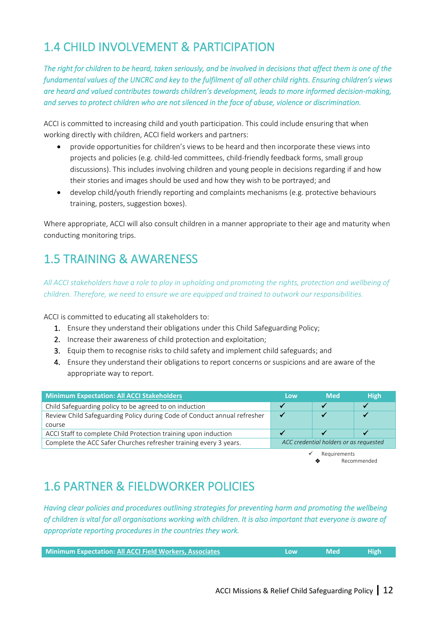# 1.4 CHILD INVOLVEMENT & PARTICIPATION

*The right for children to be heard, taken seriously, and be involved in decisions that affect them is one of the fundamental values of the UNCRC and key to the fulfilment of all other child rights. Ensuring children's views are heard and valued contributes towards children's development, leads to more informed decision-making, and serves to protect children who are not silenced in the face of abuse, violence or discrimination.* 

ACCI is committed to increasing child and youth participation. This could include ensuring that when working directly with children, ACCI field workers and partners:

- provide opportunities for children's views to be heard and then incorporate these views into projects and policies (e.g. child-led committees, child-friendly feedback forms, small group discussions). This includes involving children and young people in decisions regarding if and how their stories and images should be used and how they wish to be portrayed; and
- develop child/youth friendly reporting and complaints mechanisms (e.g. protective behaviours training, posters, suggestion boxes).

Where appropriate, ACCI will also consult children in a manner appropriate to their age and maturity when conducting monitoring trips.

# <span id="page-11-0"></span>1.5 TRAINING & AWARENESS

*All ACCI stakeholders have a role to play in upholding and promoting the rights, protection and wellbeing of children. Therefore, we need to ensure we are equipped and trained to outwork our responsibilities.* 

ACCI is committed to educating all stakeholders to:

- 1. Ensure they understand their obligations under this Child Safeguarding Policy;
- 2. Increase their awareness of child protection and exploitation;
- 3. Equip them to recognise risks to child safety and implement child safeguards; and
- 4. Ensure they understand their obligations to report concerns or suspicions and are aware of the appropriate way to report.

| Minimum Expectation: All ACCI Stakeholders                               | Low                     | <b>Med</b>        | <b>High</b>                            |
|--------------------------------------------------------------------------|-------------------------|-------------------|----------------------------------------|
| Child Safeguarding policy to be agreed to on induction                   | $\overline{\mathbf{v}}$ |                   |                                        |
| Review Child Safeguarding Policy during Code of Conduct annual refresher |                         |                   |                                        |
| course                                                                   |                         |                   |                                        |
| ACCI Staff to complete Child Protection training upon induction          |                         |                   |                                        |
| Complete the ACC Safer Churches refresher training every 3 years.        |                         |                   | ACC credential holders or as requested |
|                                                                          |                         | Requirements<br>◈ | Recommended                            |

# <span id="page-11-1"></span>1.6 PARTNER & FIELDWORKER POLICIES

*Having clear policies and procedures outlining strategies for preventing harm and promoting the wellbeing of children is vital for all organisations working with children. It is also important that everyone is aware of appropriate reporting procedures in the countries they work.* 

| <b>Minimum Expectation: All ACCI Field Workers, Associates</b> | Low | $\blacksquare$ Med $\blacksquare$ | <b>High</b> |
|----------------------------------------------------------------|-----|-----------------------------------|-------------|
|                                                                |     |                                   |             |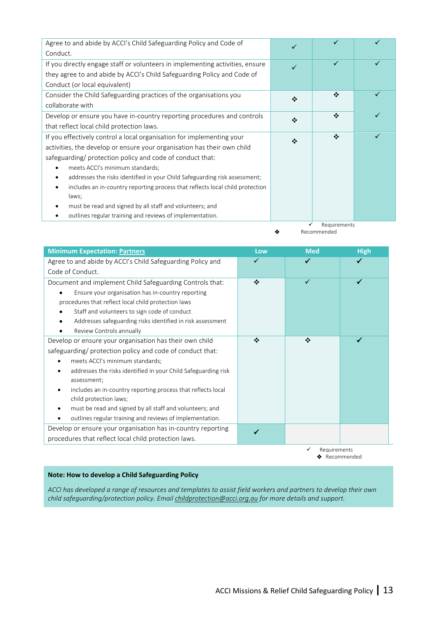| Agree to and abide by ACCI's Child Safeguarding Policy and Code of            |   |   |  |
|-------------------------------------------------------------------------------|---|---|--|
| Conduct.                                                                      |   |   |  |
| If you directly engage staff or volunteers in implementing activities, ensure |   | ✓ |  |
| they agree to and abide by ACCI's Child Safeguarding Policy and Code of       |   |   |  |
| Conduct (or local equivalent)                                                 |   |   |  |
| Consider the Child Safeguarding practices of the organisations you            | ❖ | ❖ |  |
| collaborate with                                                              |   |   |  |
| Develop or ensure you have in-country reporting procedures and controls       | ❖ | ❖ |  |
| that reflect local child protection laws.                                     |   |   |  |
| If you effectively control a local organisation for implementing your         | ❖ | ❖ |  |
| activities, the develop or ensure your organisation has their own child       |   |   |  |
| safeguarding/ protection policy and code of conduct that:                     |   |   |  |
| meets ACCI's minimum standards;                                               |   |   |  |
| addresses the risks identified in your Child Safeguarding risk assessment;    |   |   |  |
| includes an in-country reporting process that reflects local child protection |   |   |  |
| laws;                                                                         |   |   |  |
| must be read and signed by all staff and volunteers; and                      |   |   |  |
| outlines regular training and reviews of implementation.                      |   |   |  |

✓ Requirements ❖ Recommended

| <b>Minimum Expectation: Partners</b>                           | Low | <b>Med</b>   | <b>High</b> |
|----------------------------------------------------------------|-----|--------------|-------------|
| Agree to and abide by ACCI's Child Safeguarding Policy and     | ✓   |              |             |
| Code of Conduct.                                               |     |              |             |
| Document and implement Child Safeguarding Controls that:       | ❖   |              |             |
| Ensure your organisation has in-country reporting              |     |              |             |
| procedures that reflect local child protection laws            |     |              |             |
| Staff and volunteers to sign code of conduct                   |     |              |             |
| Addresses safeguarding risks identified in risk assessment     |     |              |             |
| Review Controls annually                                       |     |              |             |
| Develop or ensure your organisation has their own child        | ❖   | ❖            |             |
| safeguarding/ protection policy and code of conduct that:      |     |              |             |
| meets ACCI's minimum standards;                                |     |              |             |
| addresses the risks identified in your Child Safeguarding risk |     |              |             |
| assessment;                                                    |     |              |             |
| includes an in-country reporting process that reflects local   |     |              |             |
| child protection laws;                                         |     |              |             |
| must be read and signed by all staff and volunteers; and<br>٠  |     |              |             |
| outlines regular training and reviews of implementation.       |     |              |             |
| Develop or ensure your organisation has in-country reporting   |     |              |             |
| procedures that reflect local child protection laws.           |     |              |             |
|                                                                |     | Requirements | Recommended |

#### **Note: How to develop a Child Safeguarding Policy**

*ACCI has developed a range of resources and templates to assist field workers and partners to develop their own child safeguarding/protection policy. Email [childprotection@acci.org.au](mailto:childprotection@acci.org.au) for more details and support.*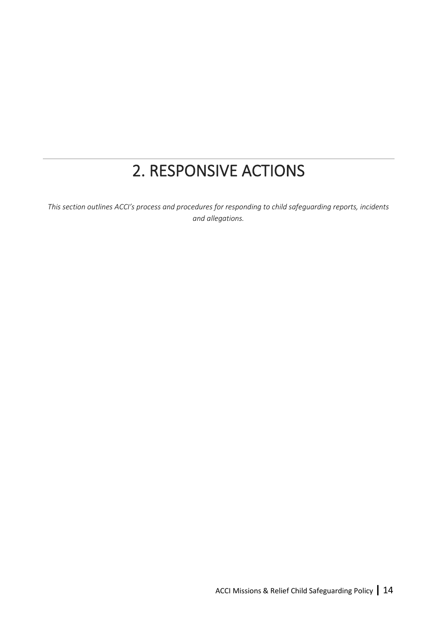# 2. RESPONSIVE ACTIONS

<span id="page-13-0"></span>*This section outlines ACCI's process and procedures for responding to child safeguarding reports, incidents and allegations.*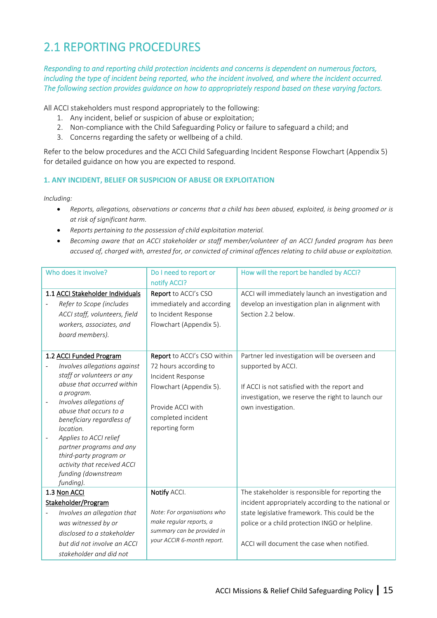# <span id="page-14-0"></span>2.1 REPORTING PROCEDURES

*Responding to and reporting child protection incidents and concerns is dependent on numerous factors, including the type of incident being reported, who the incident involved, and where the incident occurred. The following section provides guidance on how to appropriately respond based on these varying factors.* 

All ACCI stakeholders must respond appropriately to the following:

- 1. Any incident, belief or suspicion of abuse or exploitation;
- 2. Non-compliance with the Child Safeguarding Policy or failure to safeguard a child; and
- 3. Concerns regarding the safety or wellbeing of a child.

Refer to the below procedures and the ACCI Child Safeguarding Incident Response Flowchart (Appendix 5) for detailed guidance on how you are expected to respond.

#### <span id="page-14-1"></span>**1. ANY INCIDENT, BELIEF OR SUSPICION OF ABUSE OR EXPLOITATION**

*Including:* 

- *Reports, allegations, observations or concerns that a child has been abused, exploited, is being groomed or is at risk of significant harm.*
- *Reports pertaining to the possession of child exploitation material.*
- *Becoming aware that an ACCI stakeholder or staff member/volunteer of an ACCI funded program has been accused of, charged with, arrested for, or convicted of criminal offences relating to child abuse or exploitation.*

| Who does it involve?                              | Do I need to report or                                   | How will the report be handled by ACCI?             |
|---------------------------------------------------|----------------------------------------------------------|-----------------------------------------------------|
|                                                   | notify ACCI?                                             |                                                     |
| 1.1 ACCI Stakeholder Individuals                  | Report to ACCI's CSO                                     | ACCI will immediately launch an investigation and   |
| Refer to Scope (includes                          | immediately and according                                | develop an investigation plan in alignment with     |
| ACCI staff, volunteers, field                     | to Incident Response                                     | Section 2.2 below.                                  |
| workers, associates, and                          | Flowchart (Appendix 5).                                  |                                                     |
| board members).                                   |                                                          |                                                     |
|                                                   |                                                          |                                                     |
| 1.2 ACCI Funded Program                           | Report to ACCI's CSO within                              | Partner led investigation will be overseen and      |
| Involves allegations against                      | 72 hours according to                                    | supported by ACCI.                                  |
| staff or volunteers or any                        | Incident Response                                        |                                                     |
| abuse that occurred within                        | Flowchart (Appendix 5).                                  | If ACCI is not satisfied with the report and        |
| a program.                                        |                                                          | investigation, we reserve the right to launch our   |
| Involves allegations of<br>abuse that occurs to a | Provide ACCI with                                        | own investigation.                                  |
| beneficiary regardless of                         | completed incident                                       |                                                     |
| location.                                         | reporting form                                           |                                                     |
| Applies to ACCI relief                            |                                                          |                                                     |
| partner programs and any                          |                                                          |                                                     |
| third-party program or                            |                                                          |                                                     |
| activity that received ACCI                       |                                                          |                                                     |
| funding (downstream                               |                                                          |                                                     |
| funding).                                         |                                                          |                                                     |
| 1.3 Non ACCI                                      | Notify ACCI.                                             | The stakeholder is responsible for reporting the    |
| Stakeholder/Program                               |                                                          | incident appropriately according to the national or |
| Involves an allegation that                       | Note: For organisations who                              | state legislative framework. This could be the      |
| was witnessed by or                               | make regular reports, a                                  | police or a child protection INGO or helpline.      |
| disclosed to a stakeholder                        | summary can be provided in<br>your ACCIR 6-month report. |                                                     |
| but did not involve an ACCI                       |                                                          | ACCI will document the case when notified.          |
| stakeholder and did not                           |                                                          |                                                     |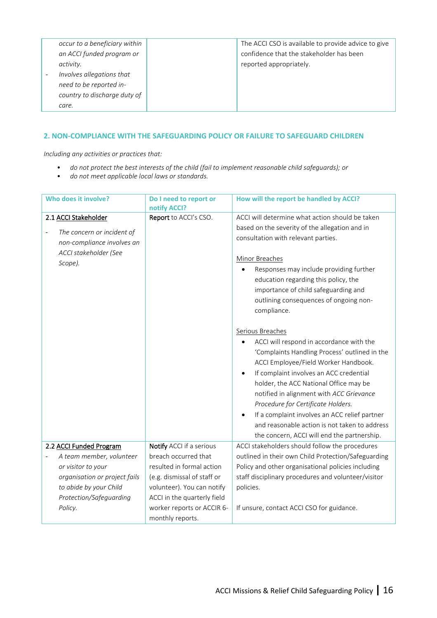|                          | occur to a beneficiary within | The ACCI CSO is available to provide advice to give |
|--------------------------|-------------------------------|-----------------------------------------------------|
|                          | an ACCI funded program or     | confidence that the stakeholder has been            |
|                          | activity.                     | reported appropriately.                             |
| $\overline{\phantom{a}}$ | Involves allegations that     |                                                     |
|                          | need to be reported in-       |                                                     |
|                          | country to discharge duty of  |                                                     |
|                          | care.                         |                                                     |

## <span id="page-15-0"></span>**2. NON-COMPLIANCE WITH THE SAFEGUARDING POLICY OR FAILURE TO SAFEGUARD CHILDREN**

*Including any activities or practices that:* 

- *do not protect the best interests of the child (fail to implement reasonable child safeguards); or*
- *do not meet applicable local laws or standards.*

| Who does it involve?          | Do I need to report or      | How will the report be handled by ACCI?                    |
|-------------------------------|-----------------------------|------------------------------------------------------------|
|                               | notify ACCI?                |                                                            |
| 2.1 ACCI Stakeholder          | Report to ACCI's CSO.       | ACCI will determine what action should be taken            |
| The concern or incident of    |                             | based on the severity of the allegation and in             |
| non-compliance involves an    |                             | consultation with relevant parties.                        |
| ACCI stakeholder (See         |                             |                                                            |
|                               |                             | Minor Breaches                                             |
| Scope).                       |                             | Responses may include providing further                    |
|                               |                             | education regarding this policy, the                       |
|                               |                             | importance of child safeguarding and                       |
|                               |                             | outlining consequences of ongoing non-                     |
|                               |                             | compliance.                                                |
|                               |                             |                                                            |
|                               |                             | Serious Breaches                                           |
|                               |                             | ACCI will respond in accordance with the                   |
|                               |                             | 'Complaints Handling Process' outlined in the              |
|                               |                             | ACCI Employee/Field Worker Handbook.                       |
|                               |                             | If complaint involves an ACC credential<br>$\bullet$       |
|                               |                             | holder, the ACC National Office may be                     |
|                               |                             |                                                            |
|                               |                             | notified in alignment with ACC Grievance                   |
|                               |                             | Procedure for Certificate Holders.                         |
|                               |                             | If a complaint involves an ACC relief partner<br>$\bullet$ |
|                               |                             | and reasonable action is not taken to address              |
|                               |                             | the concern, ACCI will end the partnership.                |
| 2.2 ACCI Funded Program       | Notify ACCI if a serious    | ACCI stakeholders should follow the procedures             |
| A team member, volunteer      | breach occurred that        | outlined in their own Child Protection/Safeguarding        |
| or visitor to your            | resulted in formal action   | Policy and other organisational policies including         |
| organisation or project fails | (e.g. dismissal of staff or | staff disciplinary procedures and volunteer/visitor        |
| to abide by your Child        | volunteer). You can notify  | policies.                                                  |
| Protection/Safeguarding       | ACCI in the quarterly field |                                                            |
| Policy.                       | worker reports or ACCIR 6-  | If unsure, contact ACCI CSO for guidance.                  |
|                               | monthly reports.            |                                                            |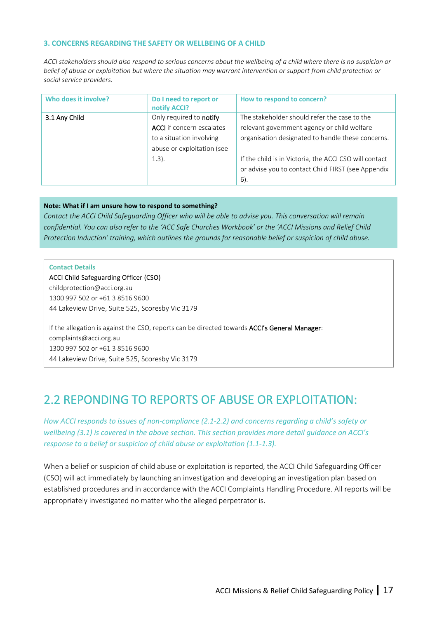#### <span id="page-16-0"></span>**3. CONCERNS REGARDING THE SAFETY OR WELLBEING OF A CHILD**

*ACCI stakeholders should also respond to serious concerns about the wellbeing of a child where there is no suspicion or belief of abuse or exploitation but where the situation may warrant intervention or support from child protection or social service providers.*

| Who does it involve? | Do I need to report or<br>notify ACCI?                                                                                            | How to respond to concern?                                                                                                                                                                                                                                              |
|----------------------|-----------------------------------------------------------------------------------------------------------------------------------|-------------------------------------------------------------------------------------------------------------------------------------------------------------------------------------------------------------------------------------------------------------------------|
| 3.1 Any Child        | Only required to notify<br><b>ACCI</b> if concern escalates<br>to a situation involving<br>abuse or exploitation (see<br>$1.3$ ). | The stakeholder should refer the case to the<br>relevant government agency or child welfare<br>organisation designated to handle these concerns.<br>If the child is in Victoria, the ACCI CSO will contact<br>or advise you to contact Child FIRST (see Appendix<br>6). |

#### **Note: What if I am unsure how to respond to something?**

*Contact the ACCI Child Safeguarding Officer who will be able to advise you. This conversation will remain confidential. You can also refer to the 'ACC Safe Churches Workbook' or the 'ACCI Missions and Relief Child Protection Induction' training, which outlines the grounds for reasonable belief or suspicion of child abuse.* 

#### **Contact Details**

ACCI Child Safeguarding Officer (CSO) [childprotection@acci.org.au](mailto:childprotection@acci.org.au) 1300 997 502 or +61 3 8516 9600 44 Lakeview Drive, Suite 525, Scoresby Vic 3179

If the allegation is against the CSO, reports can be directed towards ACCI's General Manager: complaints@acci.org.au 1300 997 502 or +61 3 8516 9600 44 Lakeview Drive, Suite 525, Scoresby Vic 3179

# <span id="page-16-1"></span>2.2 REPONDING TO REPORTS OF ABUSE OR EXPLOITATION:

*How ACCI responds to issues of non-compliance (2.1-2.2) and concerns regarding a child's safety or wellbeing (3.1) is covered in the above section. This section provides more detail guidance on ACCI's response to a belief or suspicion of child abuse or exploitation (1.1-1.3).* 

When a belief or suspicion of child abuse or exploitation is reported, the ACCI Child Safeguarding Officer (CSO) will act immediately by launching an investigation and developing an investigation plan based on established procedures and in accordance with the ACCI Complaints Handling Procedure. All reports will be appropriately investigated no matter who the alleged perpetrator is.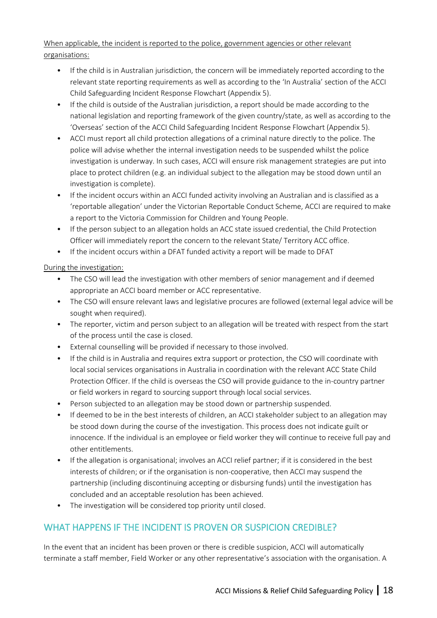## When applicable, the incident is reported to the police, government agencies or other relevant organisations:

- If the child is in Australian jurisdiction, the concern will be immediately reported according to the relevant state reporting requirements as well as according to the 'In Australia' section of the ACCI Child Safeguarding Incident Response Flowchart (Appendix 5).
- If the child is outside of the Australian jurisdiction, a report should be made according to the national legislation and reporting framework of the given country/state, as well as according to the 'Overseas' section of the ACCI Child Safeguarding Incident Response Flowchart (Appendix 5).
- ACCI must report all child protection allegations of a criminal nature directly to the police. The police will advise whether the internal investigation needs to be suspended whilst the police investigation is underway. In such cases, ACCI will ensure risk management strategies are put into place to protect children (e.g. an individual subject to the allegation may be stood down until an investigation is complete).
- If the incident occurs within an ACCI funded activity involving an Australian and is classified as a 'reportable allegation' under the Victorian Reportable Conduct Scheme, ACCI are required to make a report to the Victoria Commission for Children and Young People.
- If the person subject to an allegation holds an ACC state issued credential, the Child Protection Officer will immediately report the concern to the relevant State/ Territory ACC office.
- If the incident occurs within a DFAT funded activity a report will be made to DFAT

## During the investigation:

- The CSO will lead the investigation with other members of senior management and if deemed appropriate an ACCI board member or ACC representative.
- The CSO will ensure relevant laws and legislative procures are followed (external legal advice will be sought when required).
- The reporter, victim and person subject to an allegation will be treated with respect from the start of the process until the case is closed.
- External counselling will be provided if necessary to those involved.
- If the child is in Australia and requires extra support or protection, the CSO will coordinate with local social services organisations in Australia in coordination with the relevant ACC State Child Protection Officer. If the child is overseas the CSO will provide guidance to the in-country partner or field workers in regard to sourcing support through local social services.
- Person subjected to an allegation may be stood down or partnership suspended.
- If deemed to be in the best interests of children, an ACCI stakeholder subject to an allegation may be stood down during the course of the investigation. This process does not indicate guilt or innocence. If the individual is an employee or field worker they will continue to receive full pay and other entitlements.
- If the allegation is organisational; involves an ACCI relief partner; if it is considered in the best interests of children; or if the organisation is non-cooperative, then ACCI may suspend the partnership (including discontinuing accepting or disbursing funds) until the investigation has concluded and an acceptable resolution has been achieved.
- The investigation will be considered top priority until closed.

## <span id="page-17-0"></span>WHAT HAPPENS IF THE INCIDENT IS PROVEN OR SUSPICION CREDIBLE?

In the event that an incident has been proven or there is credible suspicion, ACCI will automatically terminate a staff member, Field Worker or any other representative's association with the organisation. A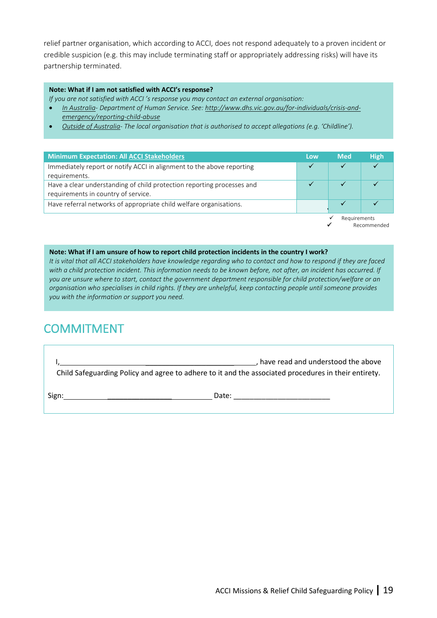relief partner organisation, which according to ACCI, does not respond adequately to a proven incident or credible suspicion (e.g. this may include terminating staff or appropriately addressing risks) will have its partnership terminated.

#### **Note: What if I am not satisfied with ACCI's response?**

*If you are not satisfied with ACCI 's response you may contact an external organisation:* 

- *In Australia- Department of Human Service. See: [http://www.dhs.vic.gov.au/for-individuals/crisis-and](http://www.dhs.vic.gov.au/for-individuals/crisis-and-emergency/reporting-child-abuse)[emergency/reporting-child-abuse](http://www.dhs.vic.gov.au/for-individuals/crisis-and-emergency/reporting-child-abuse)*
- *Outside of Australia- The local organisation that is authorised to accept allegations (e.g. 'Childline').*

| <b>Minimum Expectation: All ACCI Stakeholders</b>                                                             | Low. | <b>Med</b>   | <b>High</b> |
|---------------------------------------------------------------------------------------------------------------|------|--------------|-------------|
| Immediately report or notify ACCI in alignment to the above reporting<br>requirements.                        |      |              |             |
| Have a clear understanding of child protection reporting processes and<br>requirements in country of service. |      |              |             |
| Have referral networks of appropriate child welfare organisations.                                            |      |              |             |
|                                                                                                               |      | Requirements |             |

**Recommended** 

#### **Note: What if I am unsure of how to report child protection incidents in the country I work?**

*It is vital that all ACCI stakeholders have knowledge regarding who to contact and how to respond if they are faced with a child protection incident. This information needs to be known before, not after, an incident has occurred. If you are unsure where to start, contact the government department responsible for child protection/welfare or an organisation who specialises in child rights. If they are unhelpful, keep contacting people until someone provides you with the information or support you need.* 

# <span id="page-18-0"></span>COMMITMENT

I, \_\_\_\_\_\_\_\_\_\_\_\_\_\_\_\_\_\_\_\_\_\_ , have read and understood the above Child Safeguarding Policy and agree to adhere to it and the associated procedures in their entirety.

Sign: \_\_\_\_\_\_\_\_\_\_\_\_\_\_\_\_ Date: \_\_\_\_\_\_\_\_\_\_\_\_\_\_\_\_\_\_\_\_\_\_\_\_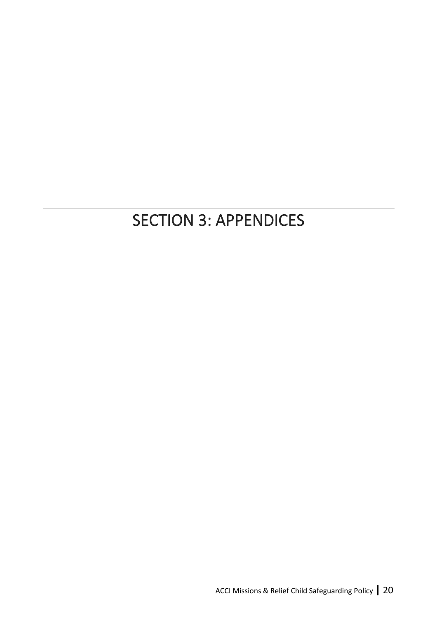# <span id="page-19-0"></span>SECTION 3: APPENDICES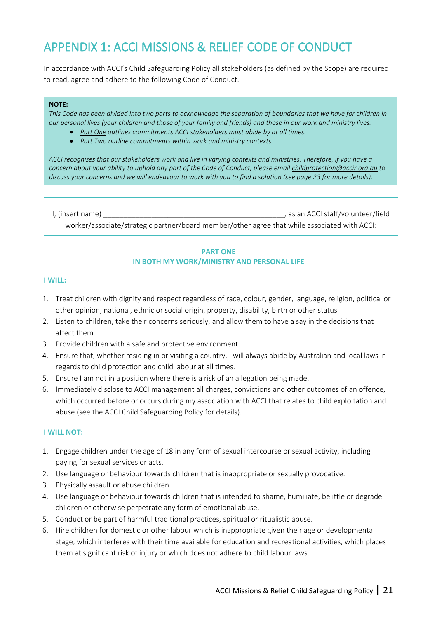# <span id="page-20-0"></span>APPENDIX 1: ACCI MISSIONS & RELIEF CODE OF CONDUCT

In accordance with ACCI's Child Safeguarding Policy all stakeholders (as defined by the Scope) are required to read, agree and adhere to the following Code of Conduct.

#### **NOTE:**

*This Code has been divided into two parts to acknowledge the separation of boundaries that we have for children in our personal lives (your children and those of your family and friends) and those in our work and ministry lives.*

- *Part One outlines commitments ACCI stakeholders must abide by at all times.*
- *Part Two outline commitments within work and ministry contexts.*

*ACCI recognises that our stakeholders work and live in varying contexts and ministries. Therefore, if you have a concern about your ability to uphold any part of the Code of Conduct, please emai[l childprotection@accir.org.au](mailto:childprotection@accir.org.au) to discuss your concerns and we will endeavour to work with you to find a solution (see page 23 for more details).*

I, (insert name) \_\_\_\_\_\_\_\_\_\_\_\_\_\_\_\_\_\_\_\_\_\_\_\_\_\_\_\_\_\_\_\_\_\_\_\_\_\_\_\_\_\_\_\_\_, as an ACCI staff/volunteer/field worker/associate/strategic partner/board member/other agree that while associated with ACCI:

#### **PART ONE IN BOTH MY WORK/MINISTRY AND PERSONAL LIFE**

#### **I WILL:**

- 1. Treat children with dignity and respect regardless of race, colour, gender, language, religion, political or other opinion, national, ethnic or social origin, property, disability, birth or other status.
- 2. Listen to children, take their concerns seriously, and allow them to have a say in the decisions that affect them.
- 3. Provide children with a safe and protective environment.
- 4. Ensure that, whether residing in or visiting a country, I will always abide by Australian and local laws in regards to child protection and child labour at all times.
- 5. Ensure I am not in a position where there is a risk of an allegation being made.
- 6. Immediately disclose to ACCI management all charges, convictions and other outcomes of an offence, which occurred before or occurs during my association with ACCI that relates to child exploitation and abuse (see the ACCI Child Safeguarding Policy for details).

#### **I WILL NOT:**

- 1. Engage children under the age of 18 in any form of sexual intercourse or sexual activity, including paying for sexual services or acts.
- 2. Use language or behaviour towards children that is inappropriate or sexually provocative.
- 3. Physically assault or abuse children.
- 4. Use language or behaviour towards children that is intended to shame, humiliate, belittle or degrade children or otherwise perpetrate any form of emotional abuse.
- 5. Conduct or be part of harmful traditional practices, spiritual or ritualistic abuse.
- 6. Hire children for domestic or other labour which is inappropriate given their age or developmental stage, which interferes with their time available for education and recreational activities, which places them at significant risk of injury or which does not adhere to child labour laws.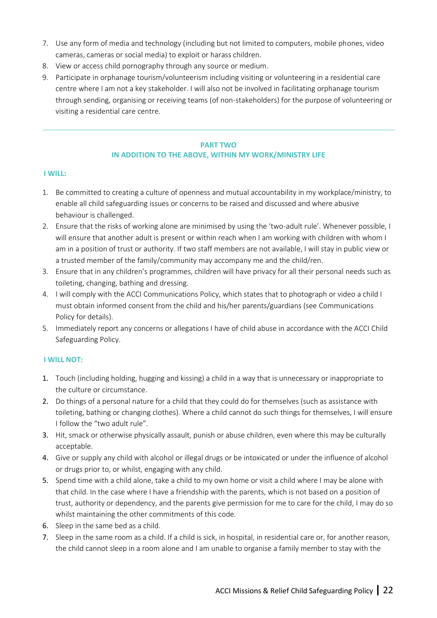- 7. Use any form of media and technology (including but not limited to computers, mobile phones, video cameras, cameras or social media) to exploit or harass children.
- 8. View or access child pornography through any source or medium.
- 9. Participate in orphanage tourism/volunteerism including visiting or volunteering in a residential care centre where I am not a key stakeholder. I will also not be involved in facilitating orphanage tourism through sending, organising or receiving teams (of non-stakeholders) for the purpose of volunteering or visiting a residential care centre.

## **PART TWO IN ADDITION TO THE ABOVE, WITHIN MY WORK/MINISTRY LIFE**

#### **I WILL:**

- 1. Be committed to creating a culture of openness and mutual accountability in my workplace/ministry, to enable all child safeguarding issues or concerns to be raised and discussed and where abusive behaviour is challenged.
- 2. Ensure that the risks of working alone are minimised by using the 'two-adult rule'. Whenever possible, I will ensure that another adult is present or within reach when I am working with children with whom I am in a position of trust or authority. If two staff members are not available, I will stay in public view or a trusted member of the family/community may accompany me and the child/ren.
- 3. Ensure that in any children's programmes, children will have privacy for all their personal needs such as toileting, changing, bathing and dressing.
- 4. I will comply with the ACCI Communications Policy, which states that to photograph or video a child I must obtain informed consent from the child and his/her parents/guardians (see Communications Policy for details).
- 5. Immediately report any concerns or allegations I have of child abuse in accordance with the ACCI Child Safeguarding Policy.

## **I WILL NOT:**

- 1. Touch (including holding, hugging and kissing) a child in a way that is unnecessary or inappropriate to the culture or circumstance.
- 2. Do things of a personal nature for a child that they could do for themselves (such as assistance with toileting, bathing or changing clothes). Where a child cannot do such things for themselves, I will ensure I follow the "two adult rule".
- 3. Hit, smack or otherwise physically assault, punish or abuse children, even where this may be culturally acceptable.
- 4. Give or supply any child with alcohol or illegal drugs or be intoxicated or under the influence of alcohol or drugs prior to, or whilst, engaging with any child.
- 5. Spend time with a child alone, take a child to my own home or visit a child where I may be alone with that child. In the case where I have a friendship with the parents, which is not based on a position of trust, authority or dependency, and the parents give permission for me to care for the child, I may do so whilst maintaining the other commitments of this code.
- 6. Sleep in the same bed as a child.
- 7. Sleep in the same room as a child. If a child is sick, in hospital, in residential care or, for another reason, the child cannot sleep in a room alone and I am unable to organise a family member to stay with the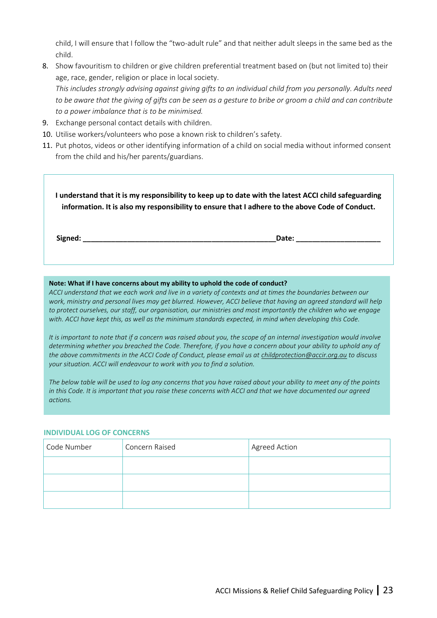child, I will ensure that I follow the "two-adult rule" and that neither adult sleeps in the same bed as the child.

- 8. Show favouritism to children or give children preferential treatment based on (but not limited to) their age, race, gender, religion or place in local society. *This includes strongly advising against giving gifts to an individual child from you personally. Adults need to be aware that the giving of gifts can be seen as a gesture to bribe or groom a child and can contribute to a power imbalance that is to be minimised.*
- 9. Exchange personal contact details with children.
- 10. Utilise workers/volunteers who pose a known risk to children's safety.
- 11. Put photos, videos or other identifying information of a child on social media without informed consent from the child and his/her parents/guardians.

**I understand that it is my responsibility to keep up to date with the latest ACCI child safeguarding information. It is also my responsibility to ensure that I adhere to the above Code of Conduct.**

**Signed: \_\_\_\_\_\_\_\_\_\_\_\_\_\_\_\_\_\_\_\_\_\_\_\_\_\_\_\_\_\_\_\_\_\_\_\_\_\_\_\_\_\_\_\_\_\_\_\_Date: \_\_\_\_\_\_\_\_\_\_\_\_\_\_\_\_\_\_\_\_\_**

#### **Note: What if I have concerns about my ability to uphold the code of conduct?**

*ACCI understand that we each work and live in a variety of contexts and at times the boundaries between our work, ministry and personal lives may get blurred. However, ACCI believe that having an agreed standard will help to protect ourselves, our staff, our organisation, our ministries and most importantly the children who we engage*  with. ACCI have kept this, as well as the minimum standards expected, in mind when developing this Code.

*It is important to note that if a concern was raised about you, the scope of an internal investigation would involve determining whether you breached the Code. Therefore, if you have a concern about your ability to uphold any of the above commitments in the ACCI Code of Conduct, please email us at [childprotection@accir.org.au](mailto:childprotection@accir.org.au) to discuss your situation. ACCI will endeavour to work with you to find a solution.*

*The below table will be used to log any concerns that you have raised about your ability to meet any of the points in this Code. It is important that you raise these concerns with ACCI and that we have documented our agreed actions.* 

#### **INDIVIDUAL LOG OF CONCERNS**

| Code Number | Concern Raised | Agreed Action |
|-------------|----------------|---------------|
|             |                |               |
|             |                |               |
|             |                |               |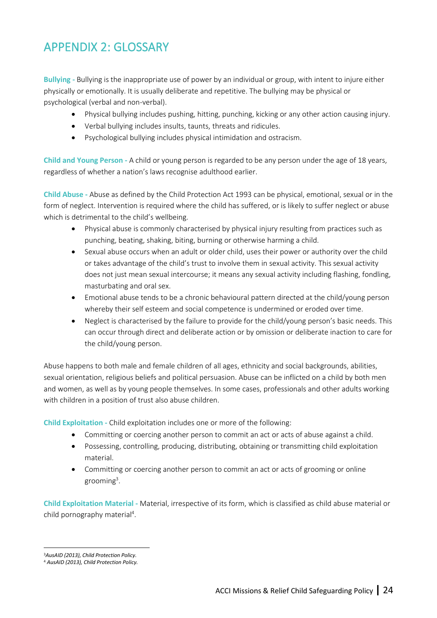# <span id="page-23-0"></span>APPENDIX 2: GLOSSARY

**Bullying -** Bullying is the inappropriate use of power by an individual or group, with intent to injure either physically or emotionally. It is usually deliberate and repetitive. The bullying may be physical or psychological (verbal and non-verbal).

- Physical bullying includes pushing, hitting, punching, kicking or any other action causing injury.
- Verbal bullying includes insults, taunts, threats and ridicules.
- Psychological bullying includes physical intimidation and ostracism.

**Child and Young Person -** A child or young person is regarded to be any person under the age of 18 years, regardless of whether a nation's laws recognise adulthood earlier.

**Child Abuse -** Abuse as defined by the Child Protection Act 1993 can be physical, emotional, sexual or in the form of neglect. Intervention is required where the child has suffered, or is likely to suffer neglect or abuse which is detrimental to the child's wellbeing.

- Physical abuse is commonly characterised by physical injury resulting from practices such as punching, beating, shaking, biting, burning or otherwise harming a child.
- Sexual abuse occurs when an adult or older child, uses their power or authority over the child or takes advantage of the child's trust to involve them in sexual activity. This sexual activity does not just mean sexual intercourse; it means any sexual activity including flashing, fondling, masturbating and oral sex.
- Emotional abuse tends to be a chronic behavioural pattern directed at the child/young person whereby their self esteem and social competence is undermined or eroded over time.
- Neglect is characterised by the failure to provide for the child/young person's basic needs. This can occur through direct and deliberate action or by omission or deliberate inaction to care for the child/young person.

Abuse happens to both male and female children of all ages, ethnicity and social backgrounds, abilities, sexual orientation, religious beliefs and political persuasion. Abuse can be inflicted on a child by both men and women, as well as by young people themselves. In some cases, professionals and other adults working with children in a position of trust also abuse children.

**Child Exploitation -** Child exploitation includes one or more of the following:

- Committing or coercing another person to commit an act or acts of abuse against a child.
- Possessing, controlling, producing, distributing, obtaining or transmitting child exploitation material.
- Committing or coercing another person to commit an act or acts of grooming or online grooming<sup>3</sup>.

**Child Exploitation Material -** Material, irrespective of its form, which is classified as child abuse material or child pornography material<sup>4</sup>.

<sup>3</sup>*AusAID (2013), Child Protection Policy.*

<sup>4</sup> *AusAID (2013), Child Protection Policy.*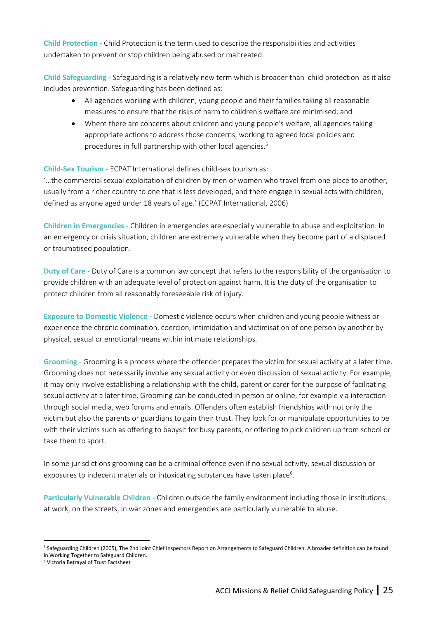**Child Protection -** Child Protection is the term used to describe the responsibilities and activities undertaken to prevent or stop children being abused or maltreated.

**Child Safeguarding -** Safeguarding is a relatively new term which is broader than 'child protection' as it also includes prevention. Safeguarding has been defined as:

- All agencies working with children, young people and their families taking all reasonable measures to ensure that the risks of harm to children's welfare are minimised; and
- Where there are concerns about children and young people's welfare, all agencies taking appropriate actions to address those concerns, working to agreed local policies and procedures in full partnership with other local agencies.<sup>5</sup>

## **Child-Sex Tourism -** ECPAT International defines child-sex tourism as:

'…the commercial sexual exploitation of children by men or women who travel from one place to another, usually from a richer country to one that is less developed, and there engage in sexual acts with children, defined as anyone aged under 18 years of age.' (ECPAT International, 2006)

**Children in Emergencies -** Children in emergencies are especially vulnerable to abuse and exploitation. In an emergency or crisis situation, children are extremely vulnerable when they become part of a displaced or traumatised population.

**Duty of Care -** Duty of Care is a common law concept that refers to the responsibility of the organisation to provide children with an adequate level of protection against harm. It is the duty of the organisation to protect children from all reasonably foreseeable risk of injury.

**Exposure to Domestic Violence -** Domestic violence occurs when children and young people witness or experience the chronic domination, coercion, intimidation and victimisation of one person by another by physical, sexual or emotional means within intimate relationships.

**Grooming -** Grooming is a process where the offender prepares the victim for sexual activity at a later time. Grooming does not necessarily involve any sexual activity or even discussion of sexual activity. For example, it may only involve establishing a relationship with the child, parent or carer for the purpose of facilitating sexual activity at a later time. Grooming can be conducted in person or online, for example via interaction through social media, web forums and emails. Offenders often establish friendships with not only the victim but also the parents or guardians to gain their trust. They look for or manipulate opportunities to be with their victims such as offering to babysit for busy parents, or offering to pick children up from school or take them to sport.

In some jurisdictions grooming can be a criminal offence even if no sexual activity, sexual discussion or exposures to indecent materials or intoxicating substances have taken place<sup>6</sup>.

**Particularly Vulnerable Children -** Children outside the family environment including those in institutions, at work, on the streets, in war zones and emergencies are particularly vulnerable to abuse.

<sup>5</sup> Safeguarding Children (2005), The 2nd Joint Chief Inspectors Report on Arrangements to Safeguard Children. A broader definition can be found in Working Together to Safeguard Children.

<sup>6</sup> Victoria Betrayal of Trust Factsheet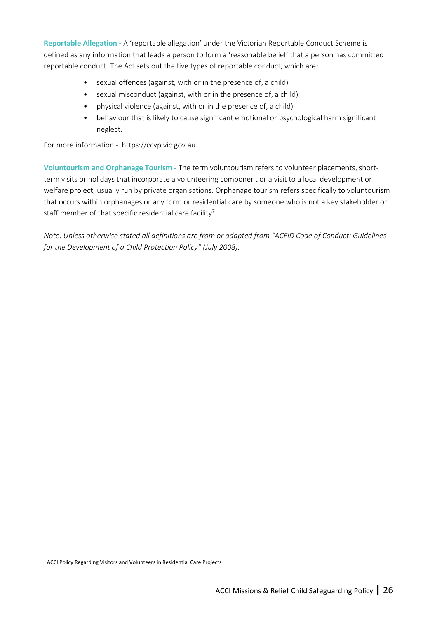**Reportable Allegation -** A 'reportable allegation' under the Victorian Reportable Conduct Scheme is defined as any information that leads a person to form a 'reasonable belief' that a person has committed reportable conduct. The Act sets out the five types of reportable conduct, which are:

- sexual offences (against, with or in the presence of, a child)
- sexual misconduct (against, with or in the presence of, a child)
- physical violence (against, with or in the presence of, a child)
- behaviour that is likely to cause significant emotional or psychological harm significant neglect.

For more information - https://ccyp.vic.gov.au.

**Voluntourism and Orphanage Tourism -** The term voluntourism refers to volunteer placements, shortterm visits or holidays that incorporate a volunteering component or a visit to a local development or welfare project, usually run by private organisations. Orphanage tourism refers specifically to voluntourism that occurs within orphanages or any form or residential care by someone who is not a key stakeholder or staff member of that specific residential care facility<sup>7</sup>.

*Note: Unless otherwise stated all definitions are from or adapted from "ACFID Code of Conduct: Guidelines for the Development of a Child Protection Policy" (July 2008).* 

<sup>7</sup> ACCI Policy Regarding Visitors and Volunteers in Residential Care Projects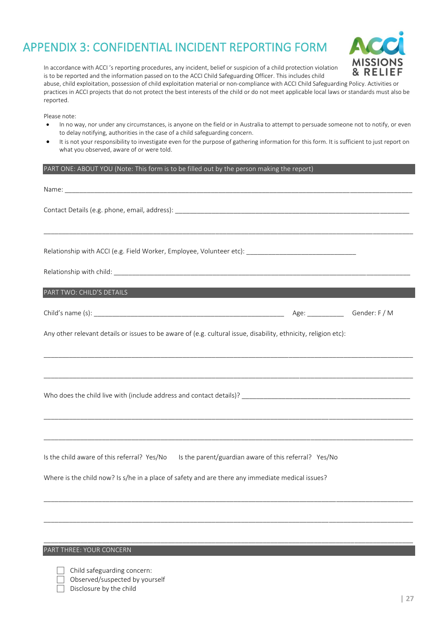# <span id="page-26-0"></span>APPENDIX 3: CONFIDENTIAL INCIDENT REPORTING FORM



In accordance with ACCI 's reporting procedures, any incident, belief or suspicion of a child protection violation is to be reported and the information passed on to the ACCI Child Safeguarding Officer. This includes child abuse, child exploitation, possession of child exploitation material or non-compliance with ACCI Child Safeguarding Policy. Activities or practices in ACCI projects that do not protect the best interests of the child or do not meet applicable local laws or standards must also be reported.

Please note:

- In no way, nor under any circumstances, is anyone on the field or in Australia to attempt to persuade someone not to notify, or even to delay notifying, authorities in the case of a child safeguarding concern.
- It is not your responsibility to investigate even for the purpose of gathering information for this form. It is sufficient to just report on what you observed, aware of or were told.

#### PART ONE: ABOUT YOU (Note: This form is to be filled out by the person making the report)

| Relationship with ACCI (e.g. Field Worker, Employee, Volunteer etc): [100] [20] [20] [20] [20] [20] [20] [20]   |                                     |
|-----------------------------------------------------------------------------------------------------------------|-------------------------------------|
|                                                                                                                 |                                     |
| PART TWO: CHILD'S DETAILS                                                                                       |                                     |
|                                                                                                                 | Age: _________________Gender: F / M |
| Any other relevant details or issues to be aware of (e.g. cultural issue, disability, ethnicity, religion etc): |                                     |
|                                                                                                                 |                                     |
|                                                                                                                 |                                     |
|                                                                                                                 |                                     |
| Is the child aware of this referral? Yes/No Is the parent/guardian aware of this referral? Yes/No               |                                     |
| Where is the child now? Is s/he in a place of safety and are there any immediate medical issues?                |                                     |
|                                                                                                                 |                                     |

\_\_\_\_\_\_\_\_\_\_\_\_\_\_\_\_\_\_\_\_\_\_\_\_\_\_\_\_\_\_\_\_\_\_\_\_\_\_\_\_\_\_\_\_\_\_\_\_\_\_\_\_\_\_\_\_\_\_\_\_\_\_\_\_\_\_\_\_\_\_\_\_\_\_\_\_\_\_\_\_\_\_\_\_\_\_\_\_\_\_\_\_\_\_\_\_\_\_\_\_\_

PART THREE: YOUR CONCERN

- Child safeguarding concern:
	- Observed/suspected by yourself
	- Disclosure by the child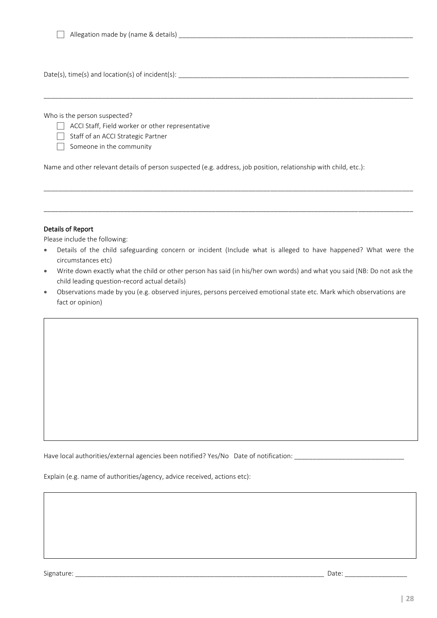Allegation made by (name & details) \_\_\_\_\_\_\_\_\_\_\_\_\_\_\_\_\_\_\_\_\_\_\_\_\_\_\_\_\_\_\_\_\_\_\_\_\_\_\_\_\_\_\_\_\_\_\_\_\_\_\_\_\_\_\_\_\_\_\_\_\_\_\_\_

Date(s), time(s) and location(s) of incident(s): \_\_\_\_\_\_\_\_\_\_\_\_\_\_\_\_\_\_\_\_\_\_\_\_\_\_\_\_\_\_\_\_\_\_\_\_\_\_\_\_\_\_\_\_\_\_\_\_\_\_\_\_\_\_\_\_\_\_\_\_\_\_\_

Who is the person suspected?

- $\Box$  ACCI Staff, Field worker or other representative
- Staff of an ACCI Strategic Partner
- $\Box$  Someone in the community

Name and other relevant details of person suspected (e.g. address, job position, relationship with child, etc.):

#### Details of Report

Please include the following:

• Details of the child safeguarding concern or incident (Include what is alleged to have happened? What were the circumstances etc)

\_\_\_\_\_\_\_\_\_\_\_\_\_\_\_\_\_\_\_\_\_\_\_\_\_\_\_\_\_\_\_\_\_\_\_\_\_\_\_\_\_\_\_\_\_\_\_\_\_\_\_\_\_\_\_\_\_\_\_\_\_\_\_\_\_\_\_\_\_\_\_\_\_\_\_\_\_\_\_\_\_\_\_\_\_\_\_\_\_\_\_\_\_\_\_\_\_\_\_\_\_

\_\_\_\_\_\_\_\_\_\_\_\_\_\_\_\_\_\_\_\_\_\_\_\_\_\_\_\_\_\_\_\_\_\_\_\_\_\_\_\_\_\_\_\_\_\_\_\_\_\_\_\_\_\_\_\_\_\_\_\_\_\_\_\_\_\_\_\_\_\_\_\_\_\_\_\_\_\_\_\_\_\_\_\_\_\_\_\_\_\_\_\_\_\_\_\_\_\_\_\_\_

\_\_\_\_\_\_\_\_\_\_\_\_\_\_\_\_\_\_\_\_\_\_\_\_\_\_\_\_\_\_\_\_\_\_\_\_\_\_\_\_\_\_\_\_\_\_\_\_\_\_\_\_\_\_\_\_\_\_\_\_\_\_\_\_\_\_\_\_\_\_\_\_\_\_\_\_\_\_\_\_\_\_\_\_\_\_\_\_\_\_\_\_\_\_\_\_\_\_\_\_\_

- Write down exactly what the child or other person has said (in his/her own words) and what you said (NB: Do not ask the child leading question-record actual details)
- Observations made by you (e.g. observed injures, persons perceived emotional state etc. Mark which observations are fact or opinion)

Have local authorities/external agencies been notified? Yes/No Date of notification: \_\_\_\_\_\_\_\_\_\_\_\_\_\_\_\_\_\_\_\_\_\_\_\_

Explain (e.g. name of authorities/agency, advice received, actions etc):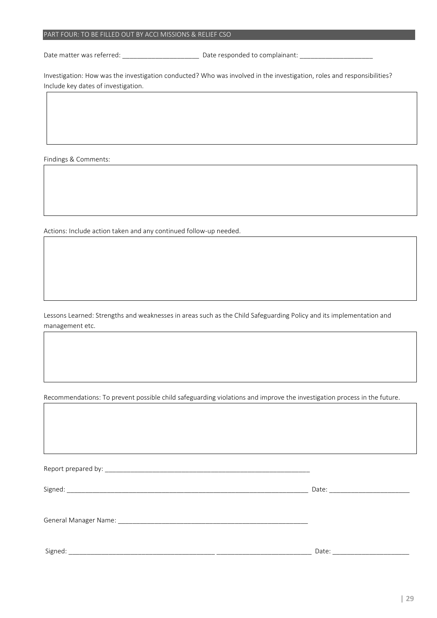#### PART FOUR: TO BE FILLED OUT BY ACCI MISSIONS & RELIEF CSO

Date matter was referred: \_\_\_\_\_\_\_\_\_\_\_\_\_\_\_\_\_\_\_\_\_ Date responded to complainant: \_\_\_\_\_\_\_\_\_\_\_\_\_\_\_\_\_\_\_\_

Investigation: How was the investigation conducted? Who was involved in the investigation, roles and responsibilities? Include key dates of investigation.

Findings & Comments:

Actions: Include action taken and any continued follow-up needed.

Lessons Learned: Strengths and weaknesses in areas such as the Child Safeguarding Policy and its implementation and management etc.

Recommendations: To prevent possible child safeguarding violations and improve the investigation process in the future.

Report prepared by: \_\_\_\_\_\_\_\_\_\_\_\_\_\_\_\_\_\_\_\_\_\_\_\_\_\_\_\_\_\_\_\_\_\_\_\_\_\_\_\_\_\_\_\_\_\_\_\_\_\_\_\_\_\_\_\_

Signed: \_\_\_\_\_\_\_\_\_\_\_\_\_\_\_\_\_\_\_\_\_\_\_\_\_\_\_\_\_\_\_\_\_\_\_\_\_\_\_\_\_\_\_\_\_\_\_\_\_\_\_\_\_\_\_\_\_\_\_\_\_\_\_\_\_\_ Date: \_\_\_\_\_\_\_\_\_\_\_\_\_\_\_\_\_\_\_\_\_\_

General Manager Name: \_\_\_\_\_\_\_\_\_\_\_\_\_\_\_\_\_\_\_\_\_\_\_\_\_\_\_\_\_\_\_\_\_\_\_\_\_\_\_\_\_\_\_\_\_\_\_\_\_\_\_\_

Signed: \_\_\_\_\_\_\_\_\_\_\_\_\_\_\_\_\_\_\_\_\_\_\_\_\_\_\_\_\_\_\_\_\_\_\_\_\_\_\_\_ \_\_\_\_\_\_\_\_\_\_\_\_\_\_\_\_\_\_\_\_\_\_\_\_\_\_ Date: \_\_\_\_\_\_\_\_\_\_\_\_\_\_\_\_\_\_\_\_\_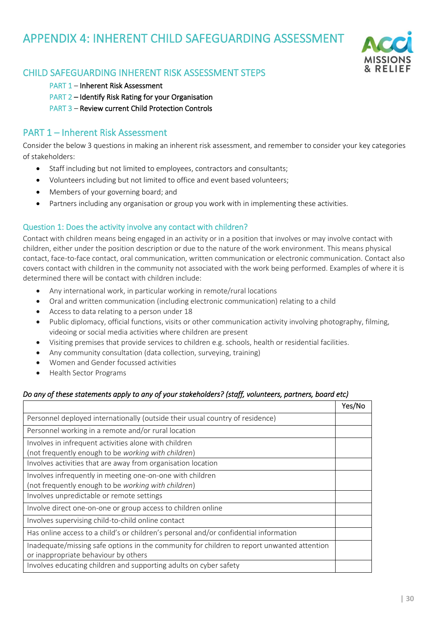# <span id="page-29-0"></span>APPENDIX 4: INHERENT CHILD SAFEGUARDING ASSESSMENT



## CHILD SAFEGUARDING INHERENT RISK ASSESSMENT STEPS

- PART 1 Inherent Risk Assessment
- PART 2 Identify Risk Rating for your Organisation
- PART 3 Review current Child Protection Controls

## PART 1 – Inherent Risk Assessment

Consider the below 3 questions in making an inherent risk assessment, and remember to consider your key categories of stakeholders:

- Staff including but not limited to employees, contractors and consultants;
- Volunteers including but not limited to office and event based volunteers;
- Members of your governing board; and
- Partners including any organisation or group you work with in implementing these activities.

## Question 1: Does the activity involve any contact with children?

Contact with children means being engaged in an activity or in a position that involves or may involve contact with children, either under the position description or due to the nature of the work environment. This means physical contact, face-to-face contact, oral communication, written communication or electronic communication. Contact also covers contact with children in the community not associated with the work being performed. Examples of where it is determined there will be contact with children include:

- Any international work, in particular working in remote/rural locations
- Oral and written communication (including electronic communication) relating to a child
- Access to data relating to a person under 18
- Public diplomacy, official functions, visits or other communication activity involving photography, filming, videoing or social media activities where children are present
- Visiting premises that provide services to children e.g. schools, health or residential facilities.
- Any community consultation (data collection, surveying, training)
- Women and Gender focussed activities
- Health Sector Programs

## *Do any of these statements apply to any of your stakeholders? (staff, volunteers, partners, board etc)*

|                                                                                                                                    | Yes/No |
|------------------------------------------------------------------------------------------------------------------------------------|--------|
| Personnel deployed internationally (outside their usual country of residence)                                                      |        |
| Personnel working in a remote and/or rural location                                                                                |        |
| Involves in infrequent activities alone with children<br>(not frequently enough to be working with children)                       |        |
| Involves activities that are away from organisation location                                                                       |        |
| Involves infrequently in meeting one-on-one with children<br>(not frequently enough to be working with children)                   |        |
| Involves unpredictable or remote settings                                                                                          |        |
| Involve direct one-on-one or group access to children online                                                                       |        |
| Involves supervising child-to-child online contact                                                                                 |        |
| Has online access to a child's or children's personal and/or confidential information                                              |        |
| Inadequate/missing safe options in the community for children to report unwanted attention<br>or inappropriate behaviour by others |        |
| Involves educating children and supporting adults on cyber safety                                                                  |        |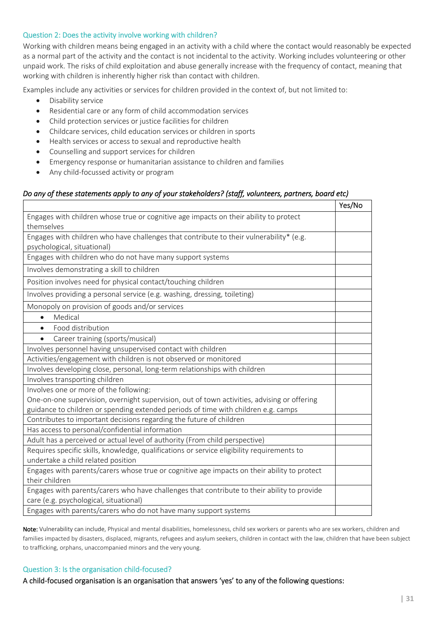#### Question 2: Does the activity involve working with children?

Working with children means being engaged in an activity with a child where the contact would reasonably be expected as a normal part of the activity and the contact is not incidental to the activity. Working includes volunteering or other unpaid work. The risks of child exploitation and abuse generally increase with the frequency of contact, meaning that working with children is inherently higher risk than contact with children.

Examples include any activities or services for children provided in the context of, but not limited to:

- Disability service
- Residential care or any form of child accommodation services
- Child protection services or justice facilities for children
- Childcare services, child education services or children in sports
- Health services or access to sexual and reproductive health
- Counselling and support services for children
- Emergency response or humanitarian assistance to children and families
- Any child-focussed activity or program

#### *Do any of these statements apply to any of your stakeholders? (staff, volunteers, partners, board etc)*

|                                                                                             | Yes/No |
|---------------------------------------------------------------------------------------------|--------|
| Engages with children whose true or cognitive age impacts on their ability to protect       |        |
| themselves                                                                                  |        |
| Engages with children who have challenges that contribute to their vulnerability* (e.g.     |        |
| psychological, situational)                                                                 |        |
| Engages with children who do not have many support systems                                  |        |
| Involves demonstrating a skill to children                                                  |        |
| Position involves need for physical contact/touching children                               |        |
| Involves providing a personal service (e.g. washing, dressing, toileting)                   |        |
| Monopoly on provision of goods and/or services                                              |        |
| Medical<br>$\bullet$                                                                        |        |
| Food distribution                                                                           |        |
| Career training (sports/musical)<br>$\bullet$                                               |        |
| Involves personnel having unsupervised contact with children                                |        |
| Activities/engagement with children is not observed or monitored                            |        |
| Involves developing close, personal, long-term relationships with children                  |        |
| Involves transporting children                                                              |        |
| Involves one or more of the following:                                                      |        |
| One-on-one supervision, overnight supervision, out of town activities, advising or offering |        |
| guidance to children or spending extended periods of time with children e.g. camps          |        |
| Contributes to important decisions regarding the future of children                         |        |
| Has access to personal/confidential information                                             |        |
| Adult has a perceived or actual level of authority (From child perspective)                 |        |
| Requires specific skills, knowledge, qualifications or service eligibility requirements to  |        |
| undertake a child related position                                                          |        |
| Engages with parents/carers whose true or cognitive age impacts on their ability to protect |        |
| their children                                                                              |        |
| Engages with parents/carers who have challenges that contribute to their ability to provide |        |
| care (e.g. psychological, situational)                                                      |        |
| Engages with parents/carers who do not have many support systems                            |        |

Note: Vulnerability can include, Physical and mental disabilities, homelessness, child sex workers or parents who are sex workers, children and families impacted by disasters, displaced, migrants, refugees and asylum seekers, children in contact with the law, children that have been subject to trafficking, orphans, unaccompanied minors and the very young.

#### Question 3: Is the organisation child-focused?

A child-focused organisation is an organisation that answers 'yes' to any of the following questions: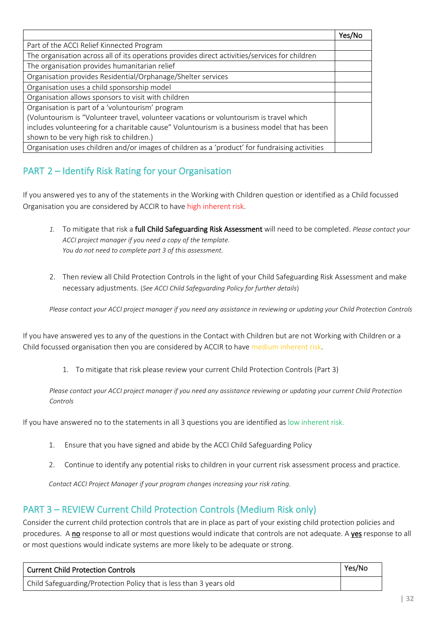|                                                                                                | Yes/No |
|------------------------------------------------------------------------------------------------|--------|
| Part of the ACCI Relief Kinnected Program                                                      |        |
| The organisation across all of its operations provides direct activities/services for children |        |
| The organisation provides humanitarian relief                                                  |        |
| Organisation provides Residential/Orphanage/Shelter services                                   |        |
| Organisation uses a child sponsorship model                                                    |        |
| Organisation allows sponsors to visit with children                                            |        |
| Organisation is part of a 'voluntourism' program                                               |        |
| (Voluntourism is "Volunteer travel, volunteer vacations or voluntourism is travel which        |        |
| includes volunteering for a charitable cause" Voluntourism is a business model that has been   |        |
| shown to be very high risk to children.)                                                       |        |
| Organisation uses children and/or images of children as a 'product' for fundraising activities |        |

# PART 2 – Identify Risk Rating for your Organisation

If you answered yes to any of the statements in the Working with Children question or identified as a Child focussed Organisation you are considered by ACCIR to have high inherent risk.

- *1.* To mitigate that risk a full Child Safeguarding Risk Assessment will need to be completed. *Please contact your ACCI project manager if you need a copy of the template. You do not need to complete part 3 of this assessment.*
- 2. Then review all Child Protection Controls in the light of your Child Safeguarding Risk Assessment and make necessary adjustments. (*See ACCI Child Safeguarding Policy for further details*)

*Please contact your ACCI project manager if you need any assistance in reviewing or updating your Child Protection Controls*

If you have answered yes to any of the questions in the Contact with Children but are not Working with Children or a Child focussed organisation then you are considered by ACCIR to have medium inherent risk.

1. To mitigate that risk please review your current Child Protection Controls (Part 3)

*Please contact your ACCI project manager if you need any assistance reviewing or updating your current Child Protection Controls*

If you have answered no to the statements in all 3 questions you are identified as low inherent risk.

- 1. Ensure that you have signed and abide by the ACCI Child Safeguarding Policy
- 2. Continue to identify any potential risks to children in your current risk assessment process and practice.

*Contact ACCI Project Manager if your program changes increasing your risk rating.*

## PART 3 – REVIEW Current Child Protection Controls (Medium Risk only)

Consider the current child protection controls that are in place as part of your existing child protection policies and procedures. A no response to all or most questions would indicate that controls are not adequate. A yes response to all or most questions would indicate systems are more likely to be adequate or strong.

| Current Child Protection Controls                                  | Yes/No |
|--------------------------------------------------------------------|--------|
| Child Safeguarding/Protection Policy that is less than 3 years old |        |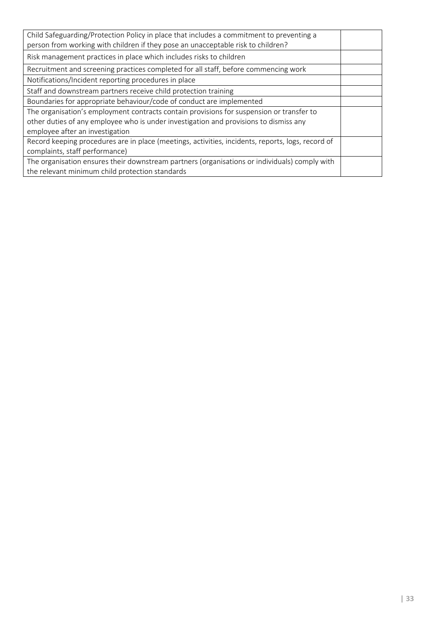| Child Safeguarding/Protection Policy in place that includes a commitment to preventing a<br>person from working with children if they pose an unacceptable risk to children? |  |
|------------------------------------------------------------------------------------------------------------------------------------------------------------------------------|--|
| Risk management practices in place which includes risks to children                                                                                                          |  |
| Recruitment and screening practices completed for all staff, before commencing work                                                                                          |  |
| Notifications/Incident reporting procedures in place                                                                                                                         |  |
| Staff and downstream partners receive child protection training                                                                                                              |  |
| Boundaries for appropriate behaviour/code of conduct are implemented                                                                                                         |  |
| The organisation's employment contracts contain provisions for suspension or transfer to                                                                                     |  |
| other duties of any employee who is under investigation and provisions to dismiss any                                                                                        |  |
| employee after an investigation                                                                                                                                              |  |
| Record keeping procedures are in place (meetings, activities, incidents, reports, logs, record of                                                                            |  |
| complaints, staff performance)                                                                                                                                               |  |
| The organisation ensures their downstream partners (organisations or individuals) comply with                                                                                |  |
| the relevant minimum child protection standards                                                                                                                              |  |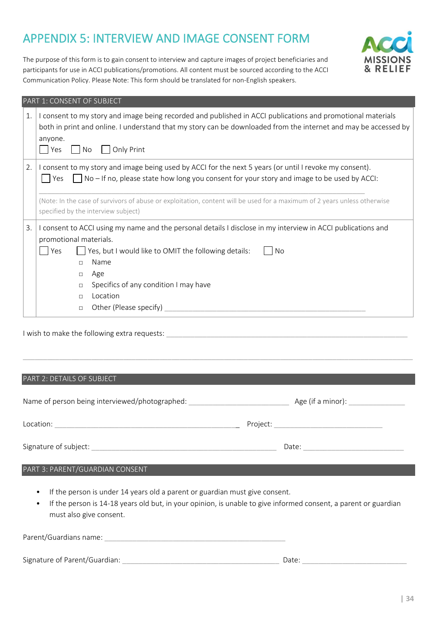# <span id="page-33-0"></span>APPENDIX 5: INTERVIEW AND IMAGE CONSENT FORM

The purpose of this form is to gain consent to interview and capture images of project beneficiaries and participants for use in ACCI publications/promotions. All content must be sourced according to the ACCI Communication Policy. Please Note: This form should be translated for non-English speakers.



|    | PART 1: CONSENT OF SUBJECT                                                                                                                                                                                                                                                                                                                                                      |
|----|---------------------------------------------------------------------------------------------------------------------------------------------------------------------------------------------------------------------------------------------------------------------------------------------------------------------------------------------------------------------------------|
| 1. | I consent to my story and image being recorded and published in ACCI publications and promotional materials<br>both in print and online. I understand that my story can be downloaded from the internet and may be accessed by<br>anyone.<br>Yes<br>Only Print<br>No.                                                                                                           |
| 2. | I consent to my story and image being used by ACCI for the next 5 years (or until I revoke my consent).<br>No - If no, please state how long you consent for your story and image to be used by ACCI:<br>Yes<br>(Note: In the case of survivors of abuse or exploitation, content will be used for a maximum of 2 years unless otherwise<br>specified by the interview subject) |
| 3. | I consent to ACCI using my name and the personal details I disclose in my interview in ACCI publications and<br>promotional materials.<br>Yes, but I would like to OMIT the following details:<br>Yes<br>No<br>Name<br>П.<br>Age<br>$\Box$<br>Specifics of any condition I may have<br>$\Box$<br>Location<br>П.<br>Other (Please specify)<br>$\Box$                             |

I wish to make the following extra requests: \_\_\_\_\_\_\_\_\_\_\_\_\_\_\_\_\_\_\_\_\_\_\_\_\_\_\_\_\_\_\_\_\_\_\_\_\_\_\_\_\_\_\_\_\_\_\_\_\_\_\_\_\_\_\_\_\_\_\_\_

#### PART 2: DETAILS OF SUBJECT

| Name of person being interviewed/photographed: | Age (if a minor): $\overline{\phantom{a}}$ |
|------------------------------------------------|--------------------------------------------|
| Location:                                      | Project:                                   |
| Signature of subject:                          | Date:                                      |

\_\_\_\_\_\_\_\_\_\_\_\_\_\_\_\_\_\_\_\_\_\_\_\_\_\_\_\_\_\_\_\_\_\_\_\_\_\_\_\_\_\_\_\_\_\_\_\_\_\_\_\_\_\_\_\_\_\_\_\_\_\_\_\_\_\_\_\_\_\_\_\_\_\_\_\_\_\_\_\_\_\_\_\_\_\_\_\_\_\_\_\_\_\_\_\_\_

- If the person is under 14 years old a parent or guardian must give consent.
- If the person is 14-18 years old but, in your opinion, is unable to give informed consent, a parent or guardian must also give consent.

| Parent/Guardians name: |  |  |  |  |
|------------------------|--|--|--|--|
|                        |  |  |  |  |

|  | Signature of Parent/Guardian: |  |  |
|--|-------------------------------|--|--|
|--|-------------------------------|--|--|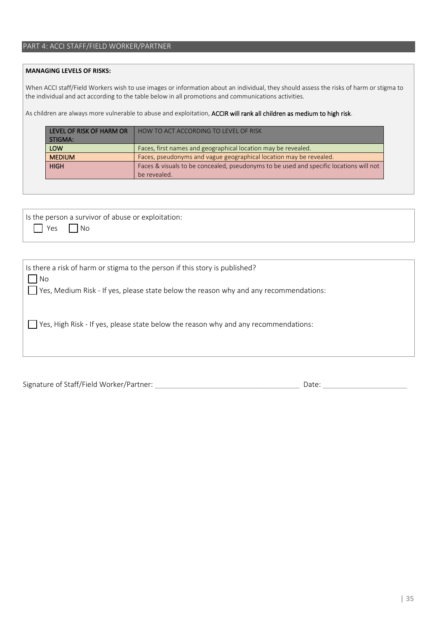## PART 4: ACCI STAFF/FIELD WORKER/PARTNER

#### **MANAGING LEVELS OF RISKS:**

When ACCI staff/Field Workers wish to use images or information about an individual, they should assess the risks of harm or stigma to the individual and act according to the table below in all promotions and communications activities.

As children are always more vulnerable to abuse and exploitation, ACCIR will rank all children as medium to high risk.

| LEVEL OF RISK OF HARM OR | HOW TO ACT ACCORDING TO LEVEL OF RISK                                                                  |
|--------------------------|--------------------------------------------------------------------------------------------------------|
| STIGMA:                  |                                                                                                        |
| <b>LOW</b>               | Faces, first names and geographical location may be revealed.                                          |
| <b>MEDIUM</b>            | Faces, pseudonyms and vague geographical location may be revealed.                                     |
| <b>HIGH</b>              | Faces & visuals to be concealed, pseudonyms to be used and specific locations will not<br>be revealed. |

|                      | Is the person a survivor of abuse or exploitation: |
|----------------------|----------------------------------------------------|
| $\Box$ Yes $\Box$ No |                                                    |

| Is there a risk of harm or stigma to the person if this story is published?           |
|---------------------------------------------------------------------------------------|
| <b>No</b>                                                                             |
| Yes, Medium Risk - If yes, please state below the reason why and any recommendations: |
|                                                                                       |
|                                                                                       |
| Yes, High Risk - If yes, please state below the reason why and any recommendations:   |
|                                                                                       |
|                                                                                       |
|                                                                                       |

Signature of Staff/Field Worker/Partner: \_\_\_\_\_\_\_\_\_\_\_\_\_\_\_\_\_\_\_\_\_\_\_\_\_\_\_\_\_\_\_\_\_\_\_\_ Date: \_\_\_\_\_\_\_\_\_\_\_\_\_\_\_\_\_\_\_\_\_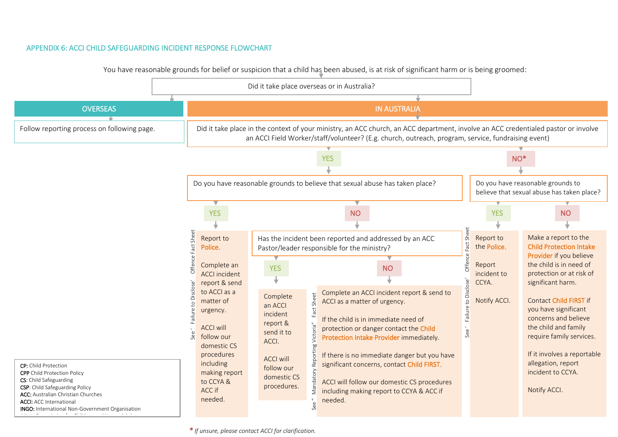#### APPENDIX 6: ACCI CHILD SAFEGUARDING INCIDENT RESPONSE FLOWCHART

You have reasonable grounds for belief or suspicion that a child has been abused, is at risk of significant harm or is being groomed:

<span id="page-35-0"></span>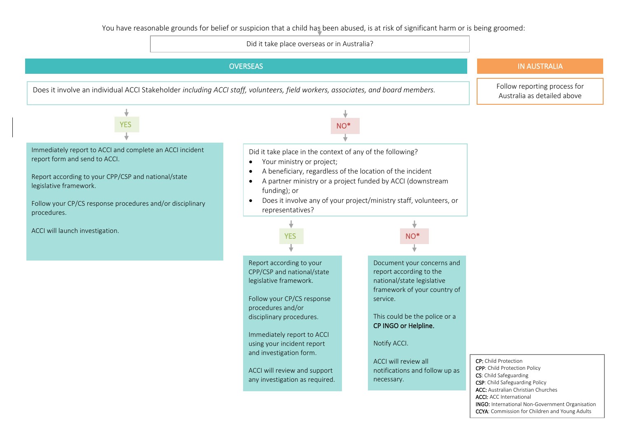Did it take place overseas or in Australia?

<span id="page-36-0"></span>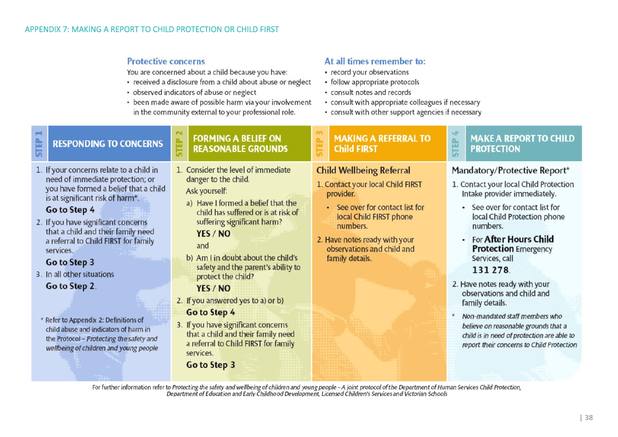## **Protective concerns**

You are concerned about a child because you have:

- received a disclosure from a child about abuse or neglect
- observed indicators of abuse or neglect
- been made aware of possible harm via your involvement in the community external to your professional role.

## At all times remember to:

- record your observations
- follow appropriate protocols
- consult notes and records
- consult with appropriate colleagues if necessary
- consult with other support agencies if necessary

| <b>RESPONDING TO CONCERNS</b>                                                                                                                                                                                                                                                                                                                                                                                                                                                                                                           | ⊞<br>툱 | <b>FORMING A BELIEF ON</b><br><b>REASONABLE GROUNDS</b>                                                                                                                                                                                                                                                                                                                                                                                                                                                                          | H | <b>MAKING A REFERRAL TO</b><br><b>Child FIRST</b>                                                                                                                                                                                             | <b>FEP</b><br>i.n. | <b>MAKE A REPORT TO CHILD</b><br><b>PROTECTION</b>                                                                                                                                                                                                                                                                                                                                                                                                                                                                                   |
|-----------------------------------------------------------------------------------------------------------------------------------------------------------------------------------------------------------------------------------------------------------------------------------------------------------------------------------------------------------------------------------------------------------------------------------------------------------------------------------------------------------------------------------------|--------|----------------------------------------------------------------------------------------------------------------------------------------------------------------------------------------------------------------------------------------------------------------------------------------------------------------------------------------------------------------------------------------------------------------------------------------------------------------------------------------------------------------------------------|---|-----------------------------------------------------------------------------------------------------------------------------------------------------------------------------------------------------------------------------------------------|--------------------|--------------------------------------------------------------------------------------------------------------------------------------------------------------------------------------------------------------------------------------------------------------------------------------------------------------------------------------------------------------------------------------------------------------------------------------------------------------------------------------------------------------------------------------|
| If your concerns relate to a child in<br>need of immediate protection; or<br>you have formed a belief that a child<br>is at significant risk of harm*.<br>Go to Step 4<br>If you have significant concerns<br>that a child and their family need<br>a referral to Child FIRST for family<br>services.<br>Go to Step 3<br>In all other situations<br>Go to Step 2.<br>Refer to Appendix 2: Definitions of<br>child abuse and indicators of harm in<br>the Protocol - Protecting the safety and<br>wellbeing of children and young people |        | 1. Consider the level of immediate<br>danger to the child.<br>Ask yourself:<br>a) Have I formed a belief that the<br>child has suffered or is at risk of<br>suffering significant harm?<br>YES / NO<br>and<br>b) Am I in doubt about the child's<br>safety and the parent's ability to<br>protect the child?<br>YES / NO<br>2. If you answered yes to a) or b)<br>Go to Step 4<br>3. If you have significant concerns<br>that a child and their family need<br>a referral to Child FIRST for family<br>services.<br>Go to Step 3 |   | <b>Child Wellbeing Referral</b><br>1. Contact your local Child FIRST<br>provider.<br>• See over for contact list for<br>local Child FIRST phone<br>numbers.<br>2. Have notes ready with your<br>observations and child and<br>family details. |                    | Mandatory/Protective Report*<br>1. Contact your local Child Protection<br>Intake provider immediately.<br>• See over for contact list for<br>local Child Protection phone<br>numbers.<br>• For After Hours Child<br><b>Protection</b> Emergency<br>Services, call<br>131 278.<br>2. Have notes ready with your<br>observations and child and<br>family details.<br>Non-mandated staff members who<br>believe on reasonable grounds that a<br>child is in need of protection are able to<br>report their concerns to Child Protection |
| For further information refer to Protecting the safety and wellbeing of children and young people - A joint protocol of the Department of Human Services Child Protection,<br>Department of Education and Early Childhood Develop                                                                                                                                                                                                                                                                                                       |        |                                                                                                                                                                                                                                                                                                                                                                                                                                                                                                                                  |   |                                                                                                                                                                                                                                               |                    |                                                                                                                                                                                                                                                                                                                                                                                                                                                                                                                                      |